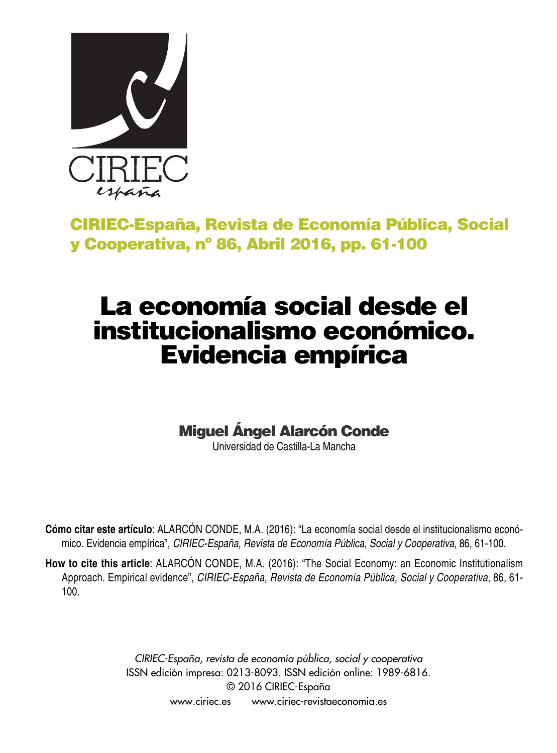

# **CIRIEC-España, Revista de Economía Pública, Social y Cooperativa, nº 86, Abril 2016, pp. 61-100**

# **La economía social desde el institucionalismo económico. Evidencia empírica**

**Miguel Ángel Alarcón Conde**

Universidad de Castilla-La Mancha

**Cómo citar este artículo**: ALARCÓN CONDE, M.A. (2016): "La economía social desde el institucionalismo económico. Evidencia empírica", *CIRIEC-España, Revista de Economía Pública, Social y Cooperativa*, 86, 61-100.

**How to cite this article**: ALARCÓN CONDE, M.A. (2016): "The Social Economy: an Economic Institutionalism Approach. Empirical evidence", *CIRIEC-España, Revista de Economía Pública, Social y Cooperativa*, 86, 61- 100.

> *CIRIEC-España, revista de economía pública, social y cooperativa* ISSN edición impresa: 0213-8093. ISSN edición online: 1989-6816. © 2016 CIRIEC-España www.ciriec.es www.ciriec-revistaeconomia.es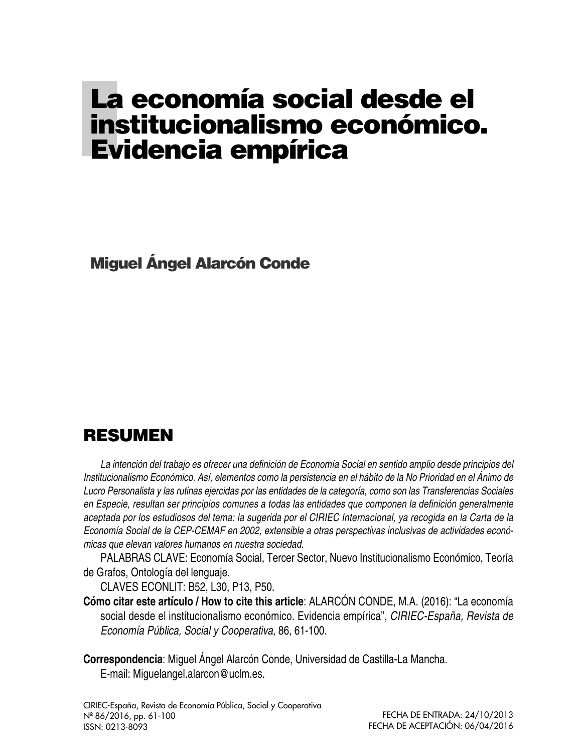# **La economía social desde el institucionalismo económico. Evidencia empírica**

**Miguel Ángel Alarcón Conde**

# **RESUMEN**

La intención del trabajo es ofrecer una definición de Economía Social en sentido amplio desde principios del Institucionalismo Económico. Así, elementos como la persistencia en el hábito de la No Prioridad en el Ánimo de Lucro Personalista y las rutinas ejercidas por las entidades de la categoría, como son las Transferencias Sociales *en Especie, resultan ser principios comunes a todas las entidades que componen la definición generalmente* aceptada por los estudiosos del tema: la sugerida por el CIRIEC Internacional, ya recogida en la Carta de la *Economía Social de la CEP-CEMAF en 2002, extensible a otras perspectivas inclusivas de actividades económicas que elevan valores humanos en nuestra sociedad.*

PALABRAS CLAVE: Economía Social, Tercer Sector, Nuevo Institucionalismo Económico, Teoría de Grafos, Ontología del lenguaje.

CLAVES ECONLIT: B52, L30, P13, P50.

**Cómo citar este artículo / How to cite this article**: ALARCÓN CONDE, M.A. (2016): "La economía social desde el institucionalismo económico. Evidencia empírica", *CIRIEC-España, Revista de Economía Pública, Social y Cooperativa*, 86, 61-100.

**Correspondencia**: Miguel Ángel Alarcón Conde, Universidad de Castilla-La Mancha. E-mail: Miguelangel.alarcon@uclm.es.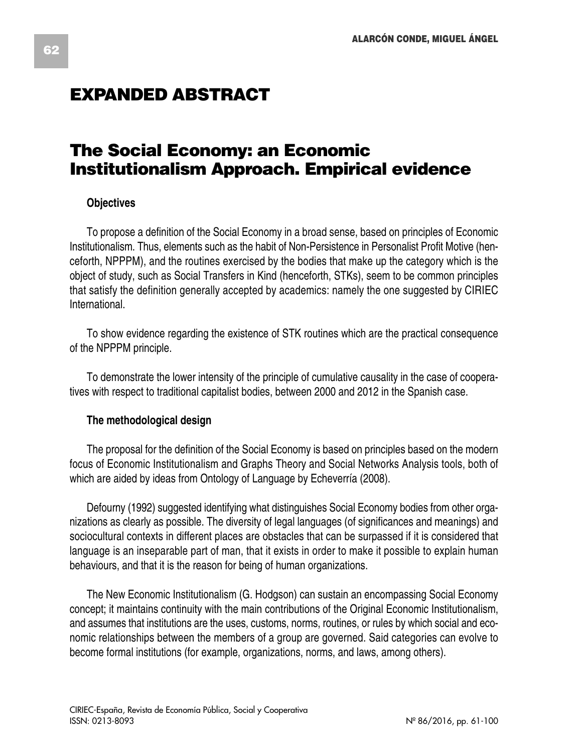# **EXPANDED ABSTRACT**

# **The Social Economy: an Economic Institutionalism Approach. Empirical evidence**

### **Objectives**

To propose a definition of the Social Economy in a broad sense, based on principles of Economic Institutionalism. Thus, elements such as the habit of Non-Persistence in Personalist Profit Motive (henceforth, NPPPM), and the routines exercised by the bodies that make up the category which is the object of study, such as Social Transfers in Kind (henceforth, STKs), seem to be common principles that satisfy the definition generally accepted by academics: namely the one suggested by CIRIEC International.

To show evidence regarding the existence of STK routines which are the practical consequence of the NPPPM principle.

To demonstrate the lower intensity of the principle of cumulative causality in the case of cooperatives with respect to traditional capitalist bodies, between 2000 and 2012 in the Spanish case.

### **The methodological design**

The proposal for the definition of the Social Economy is based on principles based on the modern focus of Economic Institutionalism and Graphs Theory and Social Networks Analysis tools, both of which are aided by ideas from Ontology of Language by Echeverría (2008).

Defourny (1992) suggested identifying what distinguishes Social Economy bodies from other organizations as clearly as possible. The diversity of legal languages (of significances and meanings) and sociocultural contexts in different places are obstacles that can be surpassed if it is considered that language is an inseparable part of man, that it exists in order to make it possible to explain human behaviours, and that it is the reason for being of human organizations.

The New Economic Institutionalism (G. Hodgson) can sustain an encompassing Social Economy concept; it maintains continuity with the main contributions of the Original Economic Institutionalism, and assumes that institutions are the uses, customs, norms, routines, or rules by which social and economic relationships between the members of a group are governed. Said categories can evolve to become formal institutions (for example, organizations, norms, and laws, among others).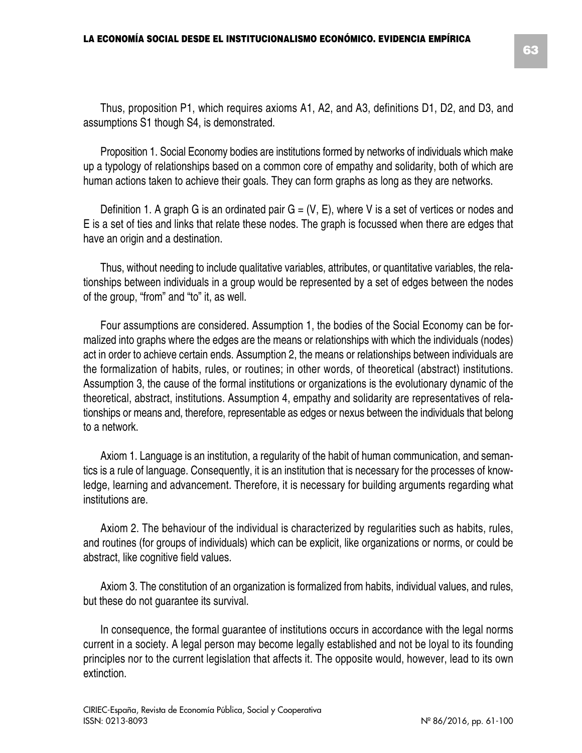Proposition 1. Social Economy bodies are institutions formed by networks of individuals which make up a typology of relationships based on a common core of empathy and solidarity, both of which are human actions taken to achieve their goals. They can form graphs as long as they are networks.

Definition 1. A graph G is an ordinated pair  $G = (V, E)$ , where V is a set of vertices or nodes and E is a set of ties and links that relate these nodes. The graph is focussed when there are edges that have an origin and a destination.

Thus, without needing to include qualitative variables, attributes, or quantitative variables, the relationships between individuals in a group would be represented by a set of edges between the nodes of the group, "from" and "to" it, as well.

Four assumptions are considered. Assumption 1, the bodies of the Social Economy can be formalized into graphs where the edges are the means or relationships with which the individuals (nodes) act in order to achieve certain ends. Assumption 2, the means or relationships between individuals are the formalization of habits, rules, or routines; in other words, of theoretical (abstract) institutions. Assumption 3, the cause of the formal institutions or organizations is the evolutionary dynamic of the theoretical, abstract, institutions. Assumption 4, empathy and solidarity are representatives of relationships or means and, therefore, representable as edges or nexus between the individuals that belong to a network.

Axiom 1. Language is an institution, a regularity of the habit of human communication, and semantics is a rule of language. Consequently, it is an institution that is necessary for the processes of knowledge, learning and advancement. Therefore, it is necessary for building arguments regarding what institutions are.

Axiom 2. The behaviour of the individual is characterized by regularities such as habits, rules, and routines (for groups of individuals) which can be explicit, like organizations or norms, or could be abstract, like cognitive field values.

Axiom 3. The constitution of an organization is formalized from habits, individual values, and rules, but these do not guarantee its survival.

In consequence, the formal guarantee of institutions occurs in accordance with the legal norms current in a society. A legal person may become legally established and not be loyal to its founding principles nor to the current legislation that affects it. The opposite would, however, lead to its own extinction.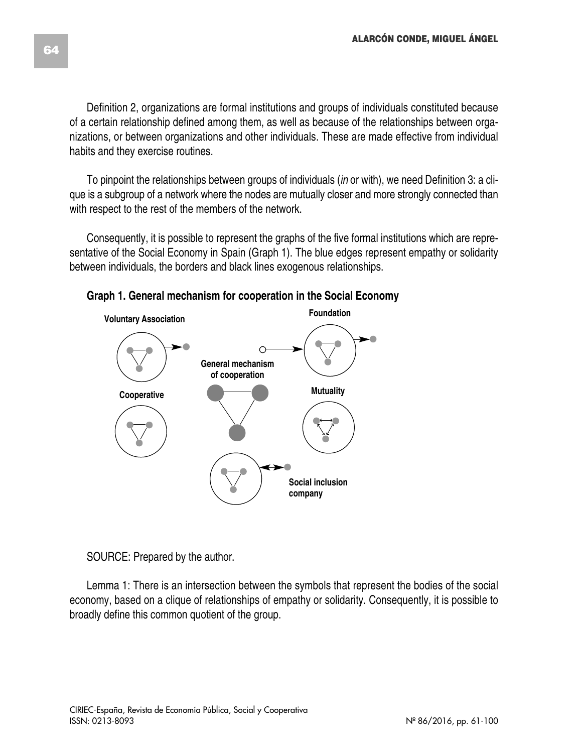Definition 2, organizations are formal institutions and groups of individuals constituted because of a certain relationship defined among them, as well as because of the relationships between organizations, or between organizations and other individuals. These are made effective from individual habits and they exercise routines.

To pinpoint the relationships between groups of individuals (*in* or with), we need Definition 3: a clique is a subgroup of a network where the nodes are mutually closer and more strongly connected than with respect to the rest of the members of the network.

Consequently, it is possible to represent the graphs of the five formal institutions which are representative of the Social Economy in Spain (Graph 1). The blue edges represent empathy or solidarity between individuals, the borders and black lines exogenous relationships.



**Graph 1. General mechanism for cooperation in the Social Economy**

SOURCE: Prepared by the author.

Lemma 1: There is an intersection between the symbols that represent the bodies of the social economy, based on a clique of relationships of empathy or solidarity. Consequently, it is possible to broadly define this common quotient of the group.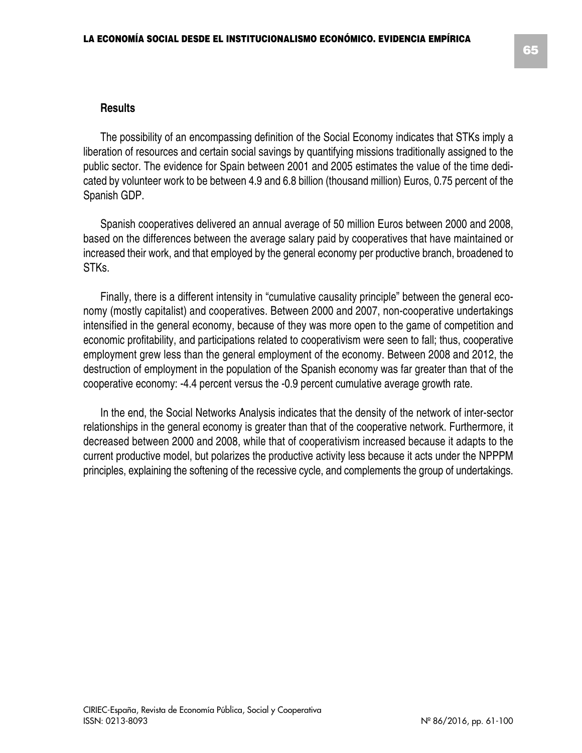#### **Results**

The possibility of an encompassing definition of the Social Economy indicates that STKs imply a liberation of resources and certain social savings by quantifying missions traditionally assigned to the public sector. The evidence for Spain between 2001 and 2005 estimates the value of the time dedicated by volunteer work to be between 4.9 and 6.8 billion (thousand million) Euros, 0.75 percent of the Spanish GDP.

Spanish cooperatives delivered an annual average of 50 million Euros between 2000 and 2008, based on the differences between the average salary paid by cooperatives that have maintained or increased their work, and that employed by the general economy per productive branch, broadened to STKs.

Finally, there is a different intensity in "cumulative causality principle" between the general economy (mostly capitalist) and cooperatives. Between 2000 and 2007, non-cooperative undertakings intensified in the general economy, because of they was more open to the game of competition and economic profitability, and participations related to cooperativism were seen to fall; thus, cooperative employment grew less than the general employment of the economy. Between 2008 and 2012, the destruction of employment in the population of the Spanish economy was far greater than that of the cooperative economy: -4.4 percent versus the -0.9 percent cumulative average growth rate.

In the end, the Social Networks Analysis indicates that the density of the network of inter-sector relationships in the general economy is greater than that of the cooperative network. Furthermore, it decreased between 2000 and 2008, while that of cooperativism increased because it adapts to the current productive model, but polarizes the productive activity less because it acts under the NPPPM principles, explaining the softening of the recessive cycle, and complements the group of undertakings.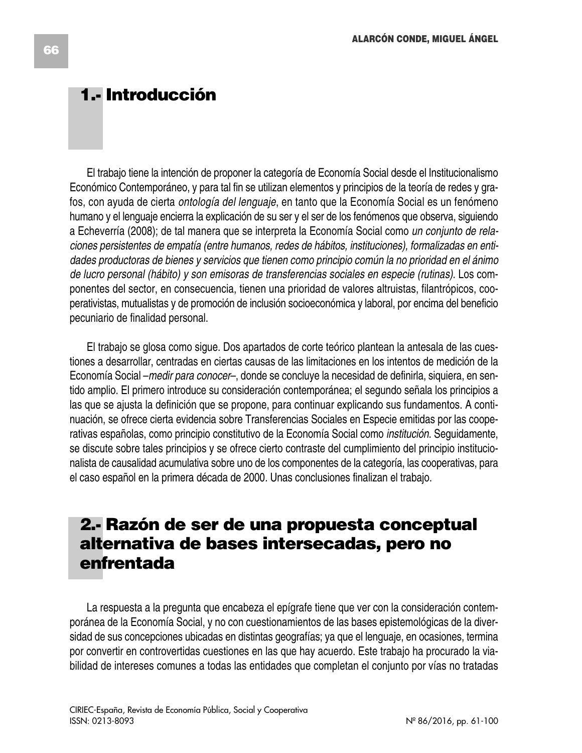# **1.- Introducción**

El trabajo tiene la intención de proponer la categoría de Economía Social desde el Institucionalismo Económico Contemporáneo, y para tal fin se utilizan elementos y principios de la teoría de redes y grafos, con ayuda de cierta *ontología del lenguaje*, en tanto que la Economía Social es un fenómeno humano y el lenguaje encierra la explicación de su ser y el ser de los fenómenos que observa, siguiendo a Echeverría (2008); de tal manera que se interpreta la Economía Social como *un conjunto de relaciones persistentes de empatía (entre humanos, redes de hábitos, instituciones), formalizadas en entidades productoras de bienes y servicios que tienen como principio común la no prioridad en el ánimo de lucro personal (hábito) y son emisoras de transferencias sociales en especie (rutinas)*. Los componentes del sector, en consecuencia, tienen una prioridad de valores altruistas, filantrópicos, cooperativistas, mutualistas y de promoción de inclusión socioeconómica y laboral, por encima del beneficio pecuniario de finalidad personal.

El trabajo se glosa como sigue. Dos apartados de corte teórico plantean la antesala de las cuestiones a desarrollar, centradas en ciertas causas de las limitaciones en los intentos de medición de la Economía Social –*medir para conocer*–, donde se concluye la necesidad de definirla, siquiera, en sentido amplio. El primero introduce su consideración contemporánea; el segundo señala los principios a las que se ajusta la definición que se propone, para continuar explicando sus fundamentos. A continuación, se ofrece cierta evidencia sobre Transferencias Sociales en Especie emitidas por las cooperativas españolas, como principio constitutivo de la Economía Social como *institución*. Seguidamente, se discute sobre tales principios y se ofrece cierto contraste del cumplimiento del principio institucionalista de causalidad acumulativa sobre uno de los componentes de la categoría, las cooperativas, para el caso español en la primera década de 2000*.* Unas conclusiones finalizan el trabajo.

# **2.- Razón de ser de una propuesta conceptual alternativa de bases intersecadas, pero no enfrentada**

La respuesta a la pregunta que encabeza el epígrafe tiene que ver con la consideración contemporánea de la Economía Social, y no con cuestionamientos de las bases epistemológicas de la diversidad de sus concepciones ubicadas en distintas geografías; ya que el lenguaje, en ocasiones, termina por convertir en controvertidas cuestiones en las que hay acuerdo. Este trabajo ha procurado la viabilidad de intereses comunes a todas las entidades que completan el conjunto por vías no tratadas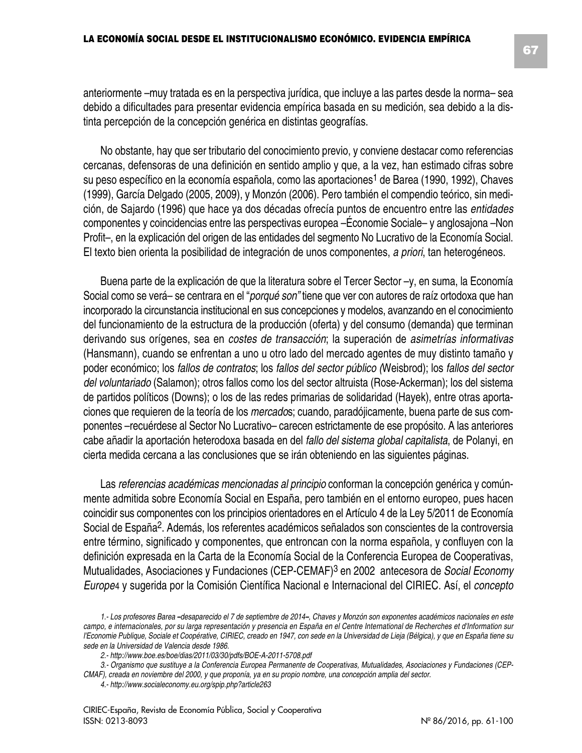**67**

anteriormente –muy tratada es en la perspectiva jurídica, que incluye a las partes desde la norma– sea debido a dificultades para presentar evidencia empírica basada en su medición, sea debido a la distinta percepción de la concepción genérica en distintas geografías.

No obstante, hay que ser tributario del conocimiento previo, y conviene destacar como referencias cercanas, defensoras de una definición en sentido amplio y que, a la vez, han estimado cifras sobre su peso específico en la economía española, como las aportaciones<sup>1</sup> de Barea (1990, 1992), Chaves (1999), García Delgado (2005, 2009), y Monzón (2006). Pero también el compendio teórico, sin medición, de Sajardo (1996) que hace ya dos décadas ofrecía puntos de encuentro entre las *entidades* componentes y coincidencias entre las perspectivas europea –Économie Sociale– y anglosajona –Non Profit–, en la explicación del origen de las entidades del segmento No Lucrativo de la Economía Social. El texto bien orienta la posibilidad de integración de unos componentes, *a priori*, tan heterogéneos.

Buena parte de la explicación de que la literatura sobre el Tercer Sector –y, en suma, la Economía Social como se verá– se centrara en el "*porqué son"* tiene que ver con autores de raíz ortodoxa que han incorporado la circunstancia institucional en sus concepciones y modelos, avanzando en el conocimiento del funcionamiento de la estructura de la producción (oferta) y del consumo (demanda) que terminan derivando sus orígenes, sea en *costes de transacción*; la superación de *asimetrías informativas* (Hansmann), cuando se enfrentan a uno u otro lado del mercado agentes de muy distinto tamaño y poder económico; los *fallos de contratos*; los *fallos del sector público (*Weisbrod); los *fallos del sector del voluntariado* (Salamon); otros fallos como los del sector altruista (Rose-Ackerman); los del sistema de partidos políticos (Downs); o los de las redes primarias de solidaridad (Hayek), entre otras aportaciones que requieren de la teoría de los *mercado*s; cuando, paradójicamente, buena parte de sus componentes –recuérdese al Sector No Lucrativo– carecen estrictamente de ese propósito. A las anteriores cabe añadir la aportación heterodoxa basada en del *fallo del sistema global capitalista*, de Polanyi, en cierta medida cercana a las conclusiones que se irán obteniendo en las siguientes páginas.

Las *referencias académicas mencionadas al principio* conforman la concepción genérica y comúnmente admitida sobre Economía Social en España, pero también en el entorno europeo, pues hacen coincidir sus componentes con los principios orientadores en el Artículo 4 de la Ley 5/2011 de Economía Social de España2. Además, los referentes académicos señalados son conscientes de la controversia entre término, significado y componentes, que entroncan con la norma española, y confluyen con la definición expresada en la Carta de la Economía Social de la Conferencia Europea de Cooperativas, Mutualidades, Asociaciones y Fundaciones (CEP-CEMAF)3 en 2002 antecesora de *Social Economy Europe*4 y sugerida por la Comisión Científica Nacional e Internacional del CIRIEC. Así, el *concepto*

<sup>1.-</sup> Los profesores Barea -desaparecido el 7 de septiembre de 2014-, Chaves y Monzón son exponentes académicos nacionales en este campo, e internacionales, por su larga representación y presencia en España en el Centre International de Recherches et d'Information sur l'Economie Publique, Sociale et Coopérative, CIRIEC, creado en 1947, con sede en la Universidad de Lieja (Bélgica), y que en España tiene su *sede en la Universidad de Valencia desde 1986.*

*<sup>2.-</sup> http://www.boe.es/boe/dias/2011/03/30/pdfs/BOE-A-2011-5708.pdf*

<sup>3.-</sup> Organismo que sustituye a la Conferencia Europea Permanente de Cooperativas, Mutualidades, Asociaciones y Fundaciones (CEP-

CMAF), creada en noviembre del 2000, y que proponía, ya en su propio nombre, una concepción amplia del sector.

*<sup>4.-</sup> http://www.socialeconomy.eu.org/spip.php?article263*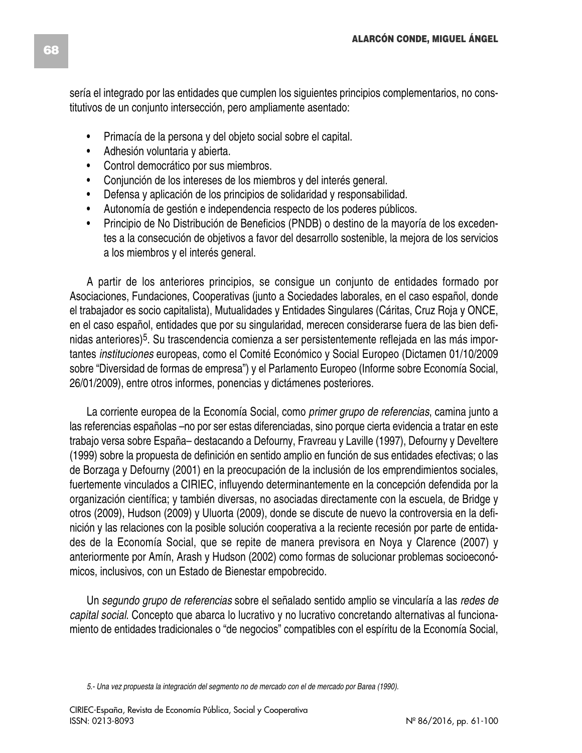sería el integrado por las entidades que cumplen los siguientes principios complementarios, no constitutivos de un conjunto intersección, pero ampliamente asentado:

- Primacía de la persona y del objeto social sobre el capital.
- Adhesión voluntaria y abierta.
- Control democrático por sus miembros.
- Conjunción de los intereses de los miembros y del interés general.
- Defensa y aplicación de los principios de solidaridad y responsabilidad.
- Autonomía de gestión e independencia respecto de los poderes públicos.
- Principio de No Distribución de Beneficios (PNDB) o destino de la mayoría de los excedentes a la consecución de objetivos a favor del desarrollo sostenible, la mejora de los servicios a los miembros y el interés general.

A partir de los anteriores principios, se consigue un conjunto de entidades formado por Asociaciones, Fundaciones, Cooperativas (junto a Sociedades laborales, en el caso español, donde el trabajador es socio capitalista), Mutualidades y Entidades Singulares (Cáritas, Cruz Roja y ONCE, en el caso español, entidades que por su singularidad, merecen considerarse fuera de las bien definidas anteriores)<sup>5</sup>. Su trascendencia comienza a ser persistentemente reflejada en las más importantes *instituciones* europeas, como el Comité Económico y Social Europeo (Dictamen 01/10/2009 sobre "Diversidad de formas de empresa") y el Parlamento Europeo (Informe sobre Economía Social, 26/01/2009), entre otros informes, ponencias y dictámenes posteriores.

La corriente europea de la Economía Social, como *primer grupo de referencias*, camina junto a las referencias españolas –no por ser estas diferenciadas, sino porque cierta evidencia a tratar en este trabajo versa sobre España– destacando a Defourny, Fravreau y Laville (1997), Defourny y Develtere (1999) sobre la propuesta de definición en sentido amplio en función de sus entidades efectivas; o las de Borzaga y Defourny (2001) en la preocupación de la inclusión de los emprendimientos sociales, fuertemente vinculados a CIRIEC, influyendo determinantemente en la concepción defendida por la organización científica; y también diversas, no asociadas directamente con la escuela, de Bridge y otros (2009), Hudson (2009) y Uluorta (2009), donde se discute de nuevo la controversia en la definición y las relaciones con la posible solución cooperativa a la reciente recesión por parte de entidades de la Economía Social, que se repite de manera previsora en Noya y Clarence (2007) y anteriormente por Amín, Arash y Hudson (2002) como formas de solucionar problemas socioeconómicos, inclusivos, con un Estado de Bienestar empobrecido.

Un *segundo grupo de referencias* sobre el señalado sentido amplio se vincularía a las *redes de capital social*. Concepto que abarca lo lucrativo y no lucrativo concretando alternativas al funcionamiento de entidades tradicionales o "de negocios" compatibles con el espíritu de la Economía Social,

5.- Una vez propuesta la integración del segmento no de mercado con el de mercado por Barea (1990).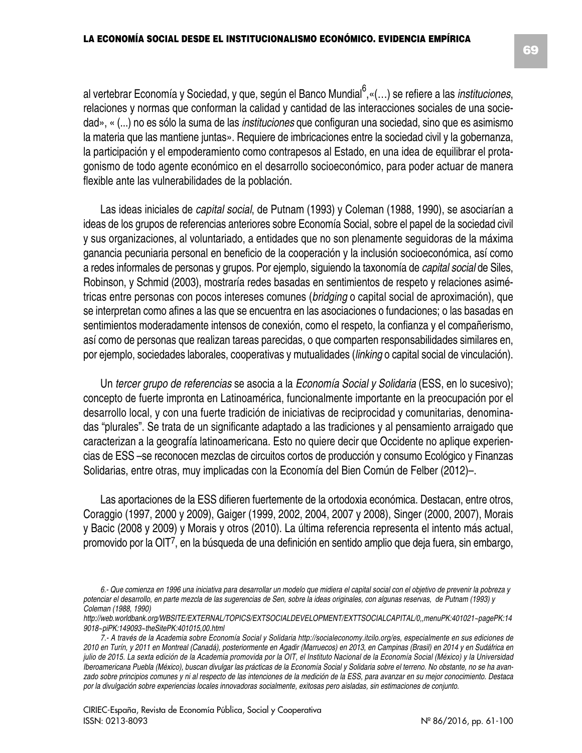al vertebrar Economía y Sociedad, y que, según el Banco Mundial 6 ,«(…) se refiere a las *instituciones*, relaciones y normas que conforman la calidad y cantidad de las interacciones sociales de una sociedad», « (...) no es sólo la suma de las *instituciones* que configuran una sociedad, sino que es asimismo la materia que las mantiene juntas». Requiere de imbricaciones entre la sociedad civil y la gobernanza, la participación y el empoderamiento como contrapesos al Estado, en una idea de equilibrar el protagonismo de todo agente económico en el desarrollo socioeconómico, para poder actuar de manera flexible ante las vulnerabilidades de la población.

Las ideas iniciales de *capital social*, de Putnam (1993) y Coleman (1988, 1990), se asociarían a ideas de los grupos de referencias anteriores sobre Economía Social, sobre el papel de la sociedad civil y sus organizaciones, al voluntariado, a entidades que no son plenamente seguidoras de la máxima ganancia pecuniaria personal en beneficio de la cooperación y la inclusión socioeconómica, así como a redes informales de personas y grupos. Por ejemplo, siguiendo la taxonomía de *capital social* de Siles, Robinson, y Schmid (2003), mostraría redes basadas en sentimientos de respeto y relaciones asimétricas entre personas con pocos intereses comunes (*bridging* o capital social de aproximación), que se interpretan como afines a las que se encuentra en las asociaciones o fundaciones; o las basadas en sentimientos moderadamente intensos de conexión, como el respeto, la confianza y el compañerismo, así como de personas que realizan tareas parecidas, o que comparten responsabilidades similares en, por ejemplo, sociedades laborales, cooperativas y mutualidades (*linking* o capital social de vinculación).

Un *tercer grupo de referencias* se asocia a la *Economía Social y Solidaria* (ESS, en lo sucesivo); concepto de fuerte impronta en Latinoamérica, funcionalmente importante en la preocupación por el desarrollo local, y con una fuerte tradición de iniciativas de reciprocidad y comunitarias, denominadas "plurales". Se trata de un significante adaptado a las tradiciones y al pensamiento arraigado que caracterizan a la geografía latinoamericana. Esto no quiere decir que Occidente no aplique experiencias de ESS –se reconocen mezclas de circuitos cortos de producción y consumo Ecológico y Finanzas Solidarias, entre otras, muy implicadas con la Economía del Bien Común de Felber (2012)–.

Las aportaciones de la ESS difieren fuertemente de la ortodoxia económica. Destacan, entre otros, Coraggio (1997, 2000 y 2009), Gaiger (1999, 2002, 2004, 2007 y 2008), Singer (2000, 2007), Morais y Bacic (2008 y 2009) y Morais y otros (2010). La última referencia representa el intento más actual, promovido por la OIT7, en la búsqueda de una definición en sentido amplio que deja fuera, sin embargo,

<sup>6.-</sup> Que comienza en 1996 una iniciativa para desarrollar un modelo que midiera el capital social con el objetivo de prevenir la pobreza y potenciar el desarrollo, en parte mezcla de las sugerencias de Sen, sobre la ideas originales, con algunas reservas, de Putnam (1993) y *Coleman (1988, 1990)*

*http://web.worldbank.org/WBSITE/EXTERNAL/TOPICS/EXTSOCIALDEVELOPMENT/EXTTSOCIALCAPITAL/0,,menuPK:401021~pagePK:14 9018~piPK:149093~theSitePK:401015,00.html*

<sup>7.-</sup> A través de la Academia sobre Economía Social y Solidaria http://socialeconomy.itcilo.org/es, especialmente en sus ediciones de 2010 en Turín, y 2011 en Montreal (Canadá), posteriormente en Agadir (Marruecos) en 2013, en Campinas (Brasil) en 2014 y en Sudáfrica en julio de 2015. La sexta edición de la Academia promovida por la OIT, el Instituto Nacional de la Economía Social (México) y la Universidad Iberoamericana Puebla (México), buscan divulgar las prácticas de la Economía Social y Solidaria sobre el terreno. No obstante, no se ha avanzado sobre principios comunes y ni al respecto de las intenciones de la medición de la ESS, para avanzar en su mejor conocimiento. Destaca por la divulgación sobre experiencias locales innovadoras socialmente, exitosas pero aisladas, sin estimaciones de conjunto.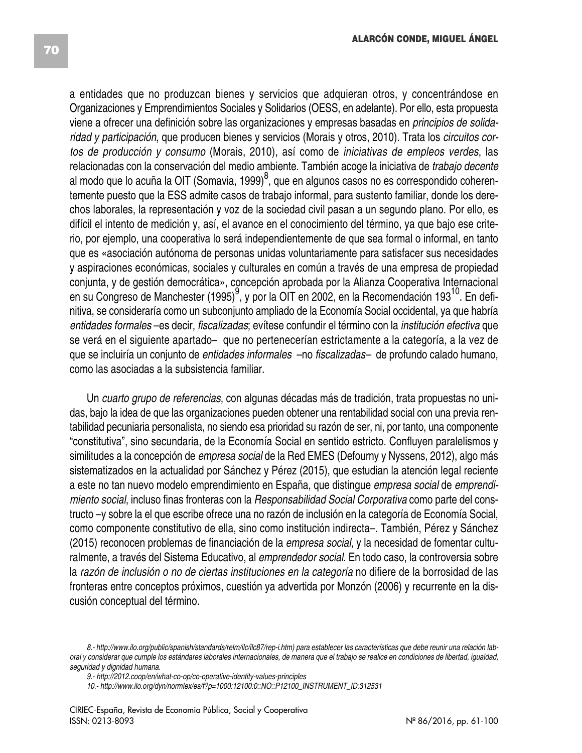a entidades que no produzcan bienes y servicios que adquieran otros, y concentrándose en Organizaciones y Emprendimientos Sociales y Solidarios (OESS, en adelante). Por ello, esta propuesta viene a ofrecer una definición sobre las organizaciones y empresas basadas en *principios de solidaridad y participación*, que producen bienes y servicios (Morais y otros, 2010). Trata los *circuitos cortos de producción y consumo* (Morais, 2010), así como de *iniciativas de empleos verdes*, las relacionadas con la conservación del medio ambiente. También acoge la iniciativa de *trabajo decente* al modo que lo acuña la OIT (Somavia, 1999)<sup>8</sup>, que en algunos casos no es correspondido coherentemente puesto que la ESS admite casos de trabajo informal, para sustento familiar, donde los derechos laborales, la representación y voz de la sociedad civil pasan a un segundo plano. Por ello, es difícil el intento de medición y, así, el avance en el conocimiento del término, ya que bajo ese criterio, por ejemplo, una cooperativa lo será independientemente de que sea formal o informal, en tanto que es «asociación autónoma de personas unidas voluntariamente para satisfacer sus necesidades y aspiraciones económicas, sociales y culturales en común a través de una empresa de propiedad conjunta, y de gestión democrática», concepción aprobada por la Alianza Cooperativa Internacional en su Congreso de Manchester (1995)<sup>9</sup>, y por la OIT en 2002, en la Recomendación 193<sup>10</sup>. En definitiva, se consideraría como un subconjunto ampliado de la Economía Social occidental, ya que habría *entidades formales* –es decir, *fiscalizadas*; evítese confundir el término con la *institución efectiva* que se verá en el siguiente apartado– que no pertenecerían estrictamente a la categoría, a la vez de que se incluiría un conjunto de *entidades informales* –no *fiscalizadas–* de profundo calado humano, como las asociadas a la subsistencia familiar.

Un *cuarto grupo de referencias*, con algunas décadas más de tradición, trata propuestas no unidas, bajo la idea de que las organizaciones pueden obtener una rentabilidad social con una previa rentabilidad pecuniaria personalista, no siendo esa prioridad su razón de ser, ni, por tanto, una componente "constitutiva", sino secundaria, de la Economía Social en sentido estricto. Confluyen paralelismos y similitudes a la concepción de *empresa social* de la Red EMES (Defourny y Nyssens, 2012), algo más sistematizados en la actualidad por Sánchez y Pérez (2015), que estudian la atención legal reciente a este no tan nuevo modelo emprendimiento en España, que distingue *empresa social* de *emprendimiento social*, incluso finas fronteras con la *Responsabilidad Social Corporativa* como parte del constructo –y sobre la el que escribe ofrece una no razón de inclusión en la categoría de Economía Social, como componente constitutivo de ella, sino como institución indirecta–. También, Pérez y Sánchez (2015) reconocen problemas de financiación de la *empresa social,* y la necesidad de fomentar culturalmente, a través del Sistema Educativo, al *emprendedor social*. En todo caso, la controversia sobre la *razón de inclusión o no de ciertas instituciones en la categoría* no difiere de la borrosidad de las fronteras entre conceptos próximos, cuestión ya advertida por Monzón (2006) y recurrente en la discusión conceptual del término.

<sup>8.-</sup> http://www.ilo.org/public/spanish/standards/relm/ilc/ilc87/rep-i.htm) para establecer las características que debe reunir una relación laboral y considerar que cumple los estándares laborales internacionales, de manera que el trabajo se realice en condiciones de libertad, igualdad, *seguridad y dignidad humana.*

*<sup>9.-</sup> http://2012.coop/en/what-co-op/co-operative-identity-values-principles*

*<sup>10.-</sup> http://www.ilo.org/dyn/normlex/es/f?p=1000:12100:0::NO::P12100\_INSTRUMENT\_ID:312531*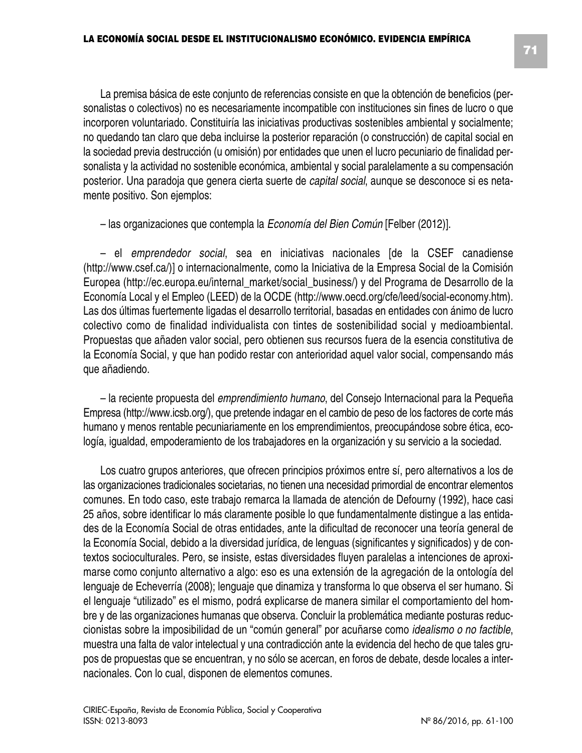La premisa básica de este conjunto de referencias consiste en que la obtención de beneficios (personalistas o colectivos) no es necesariamente incompatible con instituciones sin fines de lucro o que incorporen voluntariado. Constituiría las iniciativas productivas sostenibles ambiental y socialmente; no quedando tan claro que deba incluirse la posterior reparación (o construcción) de capital social en la sociedad previa destrucción (u omisión) por entidades que unen el lucro pecuniario de finalidad personalista y la actividad no sostenible económica, ambiental y social paralelamente a su compensación posterior. Una paradoja que genera cierta suerte de *capital social*, aunque se desconoce si es netamente positivo. Son ejemplos:

– las organizaciones que contempla la *Economía del Bien Común* [Felber (2012)].

– el *emprendedor social*, sea en iniciativas nacionales [de la CSEF canadiense (http://www.csef.ca/)] o internacionalmente, como la Iniciativa de la Empresa Social de la Comisión Europea (http://ec.europa.eu/internal\_market/social\_business/) y del Programa de Desarrollo de la Economía Local y el Empleo (LEED) de la OCDE (http://www.oecd.org/cfe/leed/social-economy.htm). Las dos últimas fuertemente ligadas el desarrollo territorial, basadas en entidades con ánimo de lucro colectivo como de finalidad individualista con tintes de sostenibilidad social y medioambiental. Propuestas que añaden valor social, pero obtienen sus recursos fuera de la esencia constitutiva de la Economía Social, y que han podido restar con anterioridad aquel valor social, compensando más que añadiendo.

– la reciente propuesta del *emprendimiento humano*, del Consejo Internacional para la Pequeña Empresa (http://www.icsb.org/), que pretende indagar en el cambio de peso de los factores de corte más humano y menos rentable pecuniariamente en los emprendimientos, preocupándose sobre ética, ecología, igualdad, empoderamiento de los trabajadores en la organización y su servicio a la sociedad.

Los cuatro grupos anteriores, que ofrecen principios próximos entre sí, pero alternativos a los de las organizaciones tradicionales societarias, no tienen una necesidad primordial de encontrar elementos comunes. En todo caso, este trabajo remarca la llamada de atención de Defourny (1992), hace casi 25 años, sobre identificar lo más claramente posible lo que fundamentalmente distingue a las entidades de la Economía Social de otras entidades, ante la dificultad de reconocer una teoría general de la Economía Social, debido a la diversidad jurídica, de lenguas (significantes y significados) y de contextos socioculturales. Pero, se insiste, estas diversidades fluyen paralelas a intenciones de aproximarse como conjunto alternativo a algo: eso es una extensión de la agregación de la ontología del lenguaje de Echeverría (2008); lenguaje que dinamiza y transforma lo que observa el ser humano. Si el lenguaje "utilizado" es el mismo, podrá explicarse de manera similar el comportamiento del hombre y de las organizaciones humanas que observa. Concluir la problemática mediante posturas reduccionistas sobre la imposibilidad de un "común general" por acuñarse como *idealismo o no factible*, muestra una falta de valor intelectual y una contradicción ante la evidencia del hecho de que tales grupos de propuestas que se encuentran, y no sólo se acercan, en foros de debate, desde locales a internacionales. Con lo cual, disponen de elementos comunes.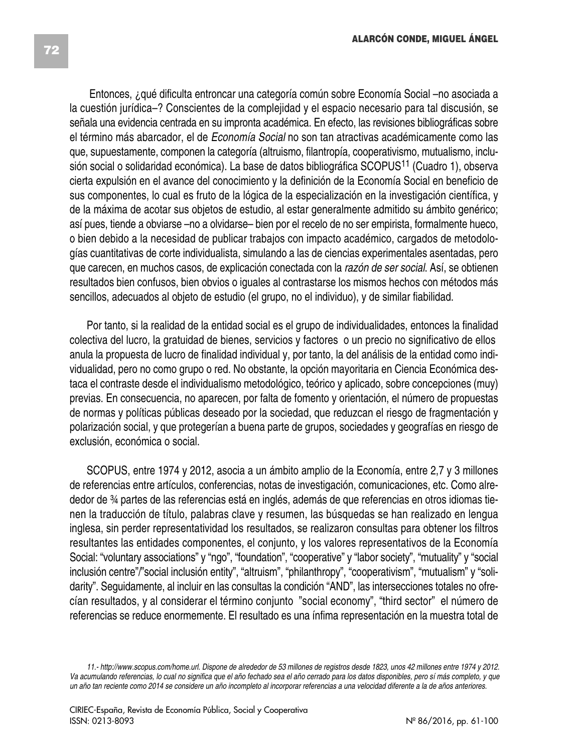Entonces, ¿qué dificulta entroncar una categoría común sobre Economía Social –no asociada a la cuestión jurídica–? Conscientes de la complejidad y el espacio necesario para tal discusión, se señala una evidencia centrada en su impronta académica. En efecto, las revisiones bibliográficas sobre el término más abarcador, el de *Economía Social* no son tan atractivas académicamente como las que, supuestamente, componen la categoría (altruismo, filantropía, cooperativismo, mutualismo, inclusión social o solidaridad económica). La base de datos bibliográfica SCOPUS<sup>11</sup> (Cuadro 1), observa cierta expulsión en el avance del conocimiento y la definición de la Economía Social en beneficio de sus componentes, lo cual es fruto de la lógica de la especialización en la investigación científica, y de la máxima de acotar sus objetos de estudio, al estar generalmente admitido su ámbito genérico; así pues, tiende a obviarse –no a olvidarse– bien por el recelo de no ser empirista, formalmente hueco, o bien debido a la necesidad de publicar trabajos con impacto académico, cargados de metodologías cuantitativas de corte individualista, simulando a las de ciencias experimentales asentadas, pero que carecen, en muchos casos, de explicación conectada con la *razón de ser social*. Así, se obtienen resultados bien confusos, bien obvios o iguales al contrastarse los mismos hechos con métodos más sencillos, adecuados al objeto de estudio (el grupo, no el individuo), y de similar fiabilidad.

Por tanto, si la realidad de la entidad social es el grupo de individualidades, entonces la finalidad colectiva del lucro, la gratuidad de bienes, servicios y factores o un precio no significativo de ellos anula la propuesta de lucro de finalidad individual y, por tanto, la del análisis de la entidad como individualidad, pero no como grupo o red. No obstante, la opción mayoritaria en Ciencia Económica destaca el contraste desde el individualismo metodológico, teórico y aplicado, sobre concepciones (muy) previas. En consecuencia, no aparecen, por falta de fomento y orientación, el número de propuestas de normas y políticas públicas deseado por la sociedad, que reduzcan el riesgo de fragmentación y polarización social, y que protegerían a buena parte de grupos, sociedades y geografías en riesgo de exclusión, económica o social.

SCOPUS, entre 1974 y 2012, asocia a un ámbito amplio de la Economía, entre 2,7 y 3 millones de referencias entre artículos, conferencias, notas de investigación, comunicaciones, etc. Como alrededor de ¾ partes de las referencias está en inglés, además de que referencias en otros idiomas tienen la traducción de título, palabras clave y resumen, las búsquedas se han realizado en lengua inglesa, sin perder representatividad los resultados, se realizaron consultas para obtener los filtros resultantes las entidades componentes, el conjunto, y los valores representativos de la Economía Social: "voluntary associations" y "ngo", "foundation", "cooperative" y "labor society", "mutuality" y "social inclusión centre"/"social inclusión entity", "altruism", "philanthropy", "cooperativism", "mutualism" y "solidarity". Seguidamente, al incluir en las consultas la condición "AND", las intersecciones totales no ofrecían resultados, y al considerar el término conjunto "social economy", "third sector" el número de referencias se reduce enormemente. El resultado es una ínfima representación en la muestra total de

<sup>11.-</sup> http://www.scopus.com/home.url. Dispone de alrededor de 53 millones de registros desde 1823, unos 42 millones entre 1974 y 2012. Va acumulando referencias, lo cual no significa que el año fechado sea el año cerrado para los datos disponibles, pero sí más completo, y que un año tan reciente como 2014 se considere un año incompleto al incorporar referencias a una velocidad diferente a la de años anteriores.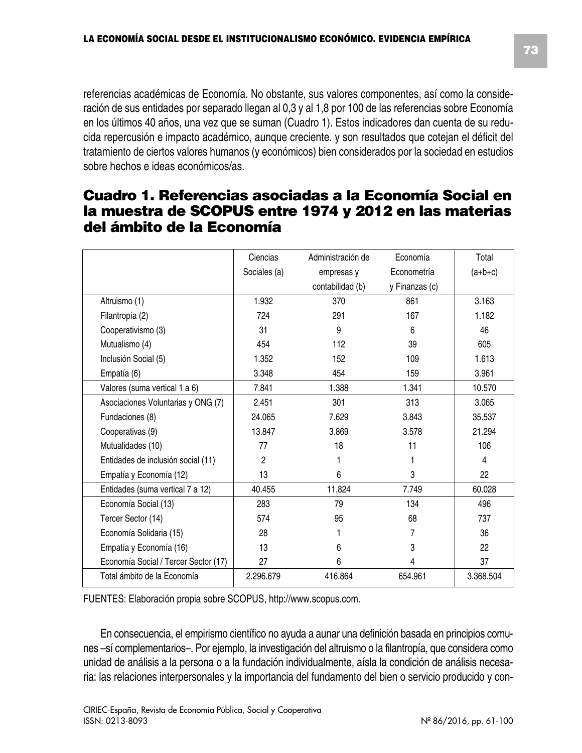referencias académicas de Economía. No obstante, sus valores componentes, así como la consideración de sus entidades por separado llegan al 0,3 y al 1,8 por 100 de las referencias sobre Economía en los últimos 40 años, una vez que se suman (Cuadro 1). Estos indicadores dan cuenta de su reducida repercusión e impacto académico, aunque creciente. y son resultados que cotejan el déficit del tratamiento de ciertos valores humanos (y económicos) bien considerados por la sociedad en estudios sobre hechos e ideas económicos/as.

## **Cuadro 1. Referencias asociadas a la Economía Social en la muestra de SCOPUS entre 1974 y 2012 en las materias del ámbito de la Economía**

|                                      | Ciencias       | Administración de | Economía       | Total     |
|--------------------------------------|----------------|-------------------|----------------|-----------|
|                                      | Sociales (a)   | empresas y        | Econometría    | $(a+b+c)$ |
|                                      |                | contabilidad (b)  | y Finanzas (c) |           |
|                                      |                |                   |                |           |
| Altruismo (1)                        | 1.932          | 370               | 861            | 3.163     |
| Filantropía (2)                      | 724            | 291               | 167            | 1.182     |
| Cooperativismo (3)                   | 31             | 9                 | 6              | 46        |
| Mutualismo (4)                       | 454            | 112               | 39             | 605       |
| Inclusión Social (5)                 | 1.352          | 152               | 109            | 1.613     |
| Empatía (6)                          | 3.348          | 454               | 159            | 3.961     |
| Valores (suma vertical 1 a 6)        | 7.841          | 1.388             | 1.341          | 10.570    |
| Asociaciones Voluntarias y ONG (7)   | 2.451          | 301               | 313            | 3.065     |
| Fundaciones (8)                      | 24.065         | 7.629             | 3.843          | 35.537    |
| Cooperativas (9)                     | 13.847         | 3.869             | 3.578          | 21.294    |
| Mutualidades (10)                    | 77             | 18                | 11             | 106       |
| Entidades de inclusión social (11)   | $\overline{2}$ | 1                 | 1              | 4         |
| Empatía y Economía (12)              | 13             | 6                 | 3              | 22        |
| Entidades (suma vertical 7 a 12)     | 40.455         | 11.824            | 7.749          | 60.028    |
| Economía Social (13)                 | 283            | 79                | 134            | 496       |
| Tercer Sector (14)                   | 574            | 95                | 68             | 737       |
| Economía Solidaria (15)              | 28             |                   | 7              | 36        |
| Empatía y Economía (16)              | 13             | 6                 | 3              | 22        |
| Economía Social / Tercer Sector (17) | 27             | 6                 | 4              | 37        |
| Total ámbito de la Economía          | 2.296.679      | 416.864           | 654.961        | 3.368.504 |

FUENTES: Elaboración propia sobre SCOPUS, http://www.scopus.com.

En consecuencia, el empirismo científico no ayuda a aunar una definición basada en principios comunes –sí complementarios–. Por ejemplo, la investigación del altruismo o la filantropía, que considera como unidad de análisis a la persona o a la fundación individualmente, aísla la condición de análisis necesaria: las relaciones interpersonales y la importancia del fundamento del bien o servicio producido y con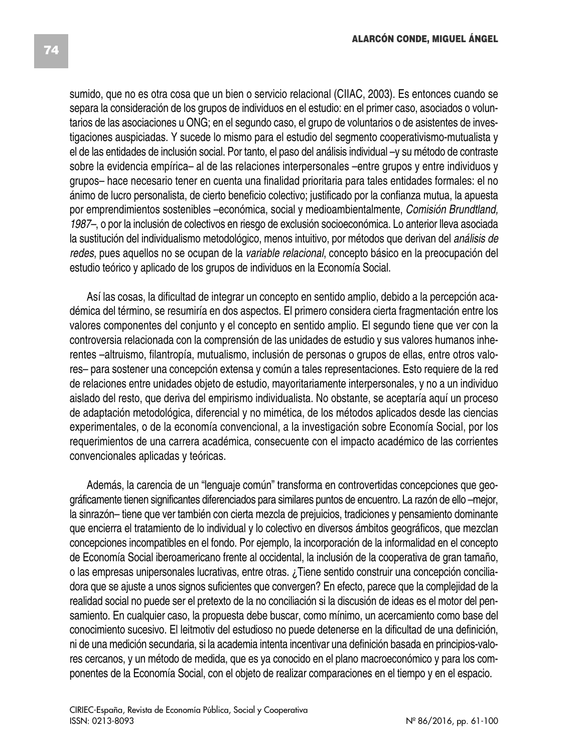sumido, que no es otra cosa que un bien o servicio relacional (CIIAC, 2003). Es entonces cuando se separa la consideración de los grupos de individuos en el estudio: en el primer caso, asociados o voluntarios de las asociaciones u ONG; en el segundo caso, el grupo de voluntarios o de asistentes de investigaciones auspiciadas. Y sucede lo mismo para el estudio del segmento cooperativismo-mutualista y el de las entidades de inclusión social. Por tanto, el paso del análisis individual –y su método de contraste sobre la evidencia empírica– al de las relaciones interpersonales –entre grupos y entre individuos y grupos– hace necesario tener en cuenta una finalidad prioritaria para tales entidades formales: el no ánimo de lucro personalista, de cierto beneficio colectivo; justificado por la confianza mutua, la apuesta por emprendimientos sostenibles –económica, social y medioambientalmente, *Comisión Brundtland, 1987–*, o por la inclusión de colectivos en riesgo de exclusión socioeconómica. Lo anterior lleva asociada la sustitución del individualismo metodológico, menos intuitivo, por métodos que derivan del *análisis de redes*, pues aquellos no se ocupan de la *variable relacional*, concepto básico en la preocupación del estudio teórico y aplicado de los grupos de individuos en la Economía Social.

Así las cosas, la dificultad de integrar un concepto en sentido amplio, debido a la percepción académica del término, se resumiría en dos aspectos. El primero considera cierta fragmentación entre los valores componentes del conjunto y el concepto en sentido amplio. El segundo tiene que ver con la controversia relacionada con la comprensión de las unidades de estudio y sus valores humanos inherentes –altruismo, filantropía, mutualismo, inclusión de personas o grupos de ellas, entre otros valores– para sostener una concepción extensa y común a tales representaciones. Esto requiere de la red de relaciones entre unidades objeto de estudio, mayoritariamente interpersonales, y no a un individuo aislado del resto, que deriva del empirismo individualista. No obstante, se aceptaría aquí un proceso de adaptación metodológica, diferencial y no mimética, de los métodos aplicados desde las ciencias experimentales, o de la economía convencional, a la investigación sobre Economía Social, por los requerimientos de una carrera académica, consecuente con el impacto académico de las corrientes convencionales aplicadas y teóricas.

Además, la carencia de un "lenguaje común" transforma en controvertidas concepciones que geográficamente tienen significantes diferenciados para similares puntos de encuentro. La razón de ello –mejor, la sinrazón– tiene que ver también con cierta mezcla de prejuicios, tradiciones y pensamiento dominante que encierra el tratamiento de lo individual y lo colectivo en diversos ámbitos geográficos, que mezclan concepciones incompatibles en el fondo. Por ejemplo, la incorporación de la informalidad en el concepto de Economía Social iberoamericano frente al occidental, la inclusión de la cooperativa de gran tamaño, o las empresas unipersonales lucrativas, entre otras. ¿Tiene sentido construir una concepción conciliadora que se ajuste a unos signos suficientes que convergen? En efecto, parece que la complejidad de la realidad social no puede ser el pretexto de la no conciliación si la discusión de ideas es el motor del pensamiento. En cualquier caso, la propuesta debe buscar, como mínimo, un acercamiento como base del conocimiento sucesivo. El leitmotiv del estudioso no puede detenerse en la dificultad de una definición, ni de una medición secundaria, si la academia intenta incentivar una definición basada en principios-valores cercanos, y un método de medida, que es ya conocido en el plano macroeconómico y para los componentes de la Economía Social, con el objeto de realizar comparaciones en el tiempo y en el espacio.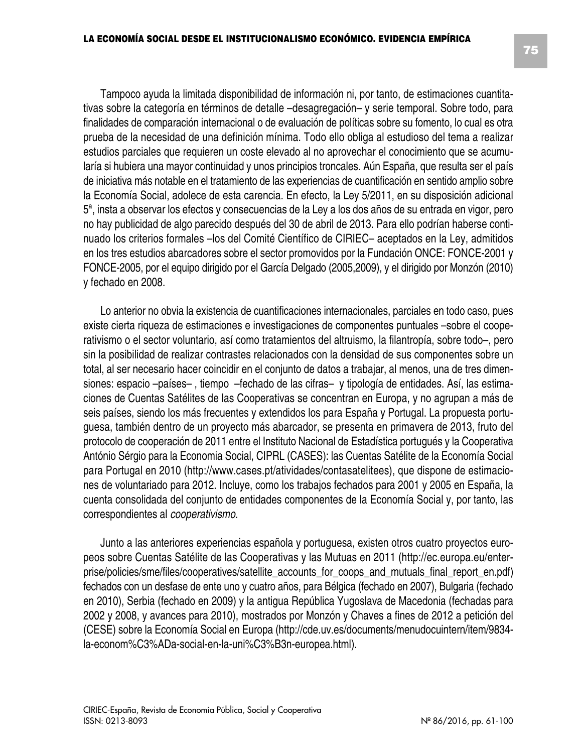Tampoco ayuda la limitada disponibilidad de información ni, por tanto, de estimaciones cuantitativas sobre la categoría en términos de detalle –desagregación– y serie temporal. Sobre todo, para finalidades de comparación internacional o de evaluación de políticas sobre su fomento, lo cual es otra prueba de la necesidad de una definición mínima. Todo ello obliga al estudioso del tema a realizar estudios parciales que requieren un coste elevado al no aprovechar el conocimiento que se acumularía si hubiera una mayor continuidad y unos principios troncales. Aún España, que resulta ser el país de iniciativa más notable en el tratamiento de las experiencias de cuantificación en sentido amplio sobre la Economía Social, adolece de esta carencia. En efecto, la Ley 5/2011, en su disposición adicional 5ª, insta a observar los efectos y consecuencias de la Ley a los dos años de su entrada en vigor, pero no hay publicidad de algo parecido después del 30 de abril de 2013. Para ello podrían haberse continuado los criterios formales –los del Comité Científico de CIRIEC– aceptados en la Ley, admitidos en los tres estudios abarcadores sobre el sector promovidos por la Fundación ONCE: FONCE-2001 y FONCE-2005, por el equipo dirigido por el García Delgado (2005,2009), y el dirigido por Monzón (2010) y fechado en 2008.

Lo anterior no obvia la existencia de cuantificaciones internacionales, parciales en todo caso, pues existe cierta riqueza de estimaciones e investigaciones de componentes puntuales –sobre el cooperativismo o el sector voluntario, así como tratamientos del altruismo, la filantropía, sobre todo–, pero sin la posibilidad de realizar contrastes relacionados con la densidad de sus componentes sobre un total, al ser necesario hacer coincidir en el conjunto de datos a trabajar, al menos, una de tres dimensiones: espacio –países– , tiempo –fechado de las cifras– y tipología de entidades. Así, las estimaciones de Cuentas Satélites de las Cooperativas se concentran en Europa, y no agrupan a más de seis países, siendo los más frecuentes y extendidos los para España y Portugal. La propuesta portuguesa, también dentro de un proyecto más abarcador, se presenta en primavera de 2013, fruto del protocolo de cooperación de 2011 entre el Instituto Nacional de Estadística portugués y la Cooperativa António Sérgio para la Economia Social, CIPRL (CASES): las Cuentas Satélite de la Economía Social para Portugal en 2010 (http://www.cases.pt/atividades/contasatelitees), que dispone de estimaciones de voluntariado para 2012. Incluye, como los trabajos fechados para 2001 y 2005 en España, la cuenta consolidada del conjunto de entidades componentes de la Economía Social y, por tanto, las correspondientes al *cooperativismo*.

Junto a las anteriores experiencias española y portuguesa, existen otros cuatro proyectos europeos sobre Cuentas Satélite de las Cooperativas y las Mutuas en 2011 (http://ec.europa.eu/enterprise/policies/sme/files/cooperatives/satellite\_accounts\_for\_coops\_and\_mutuals\_final\_report\_en.pdf) fechados con un desfase de ente uno y cuatro años, para Bélgica (fechado en 2007), Bulgaria (fechado en 2010), Serbia (fechado en 2009) y la antigua República Yugoslava de Macedonia (fechadas para 2002 y 2008, y avances para 2010), mostrados por Monzón y Chaves a fines de 2012 a petición del (CESE) sobre la Economía Social en Europa (http://cde.uv.es/documents/menudocuintern/item/9834 la-econom%C3%ADa-social-en-la-uni%C3%B3n-europea.html).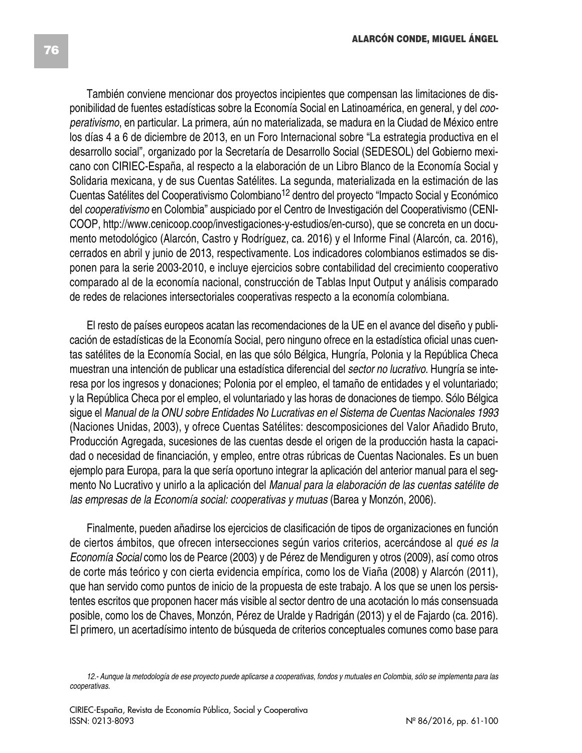También conviene mencionar dos proyectos incipientes que compensan las limitaciones de disponibilidad de fuentes estadísticas sobre la Economía Social en Latinoamérica, en general, y del *cooperativismo*, en particular. La primera, aún no materializada, se madura en la Ciudad de México entre los días 4 a 6 de diciembre de 2013, en un Foro Internacional sobre "La estrategia productiva en el desarrollo social", organizado por la Secretaría de Desarrollo Social (SEDESOL) del Gobierno mexicano con CIRIEC-España, al respecto a la elaboración de un Libro Blanco de la Economía Social y Solidaria mexicana, y de sus Cuentas Satélites. La segunda, materializada en la estimación de las Cuentas Satélites del Cooperativismo Colombiano<sup>12</sup> dentro del proyecto "Impacto Social y Económico del *cooperativismo* en Colombia" auspiciado por el Centro de Investigación del Cooperativismo (CENI-COOP, http://www.cenicoop.coop/investigaciones-y-estudios/en-curso), que se concreta en un documento metodológico (Alarcón, Castro y Rodríguez, ca. 2016) y el Informe Final (Alarcón, ca. 2016), cerrados en abril y junio de 2013, respectivamente. Los indicadores colombianos estimados se disponen para la serie 2003-2010, e incluye ejercicios sobre contabilidad del crecimiento cooperativo comparado al de la economía nacional, construcción de Tablas Input Output y análisis comparado de redes de relaciones intersectoriales cooperativas respecto a la economía colombiana.

El resto de países europeos acatan las recomendaciones de la UE en el avance del diseño y publicación de estadísticas de la Economía Social, pero ninguno ofrece en la estadística oficial unas cuentas satélites de la Economía Social, en las que sólo Bélgica, Hungría, Polonia y la República Checa muestran una intención de publicar una estadística diferencial del *sector no lucrativo*. Hungría se interesa por los ingresos y donaciones; Polonia por el empleo, el tamaño de entidades y el voluntariado; y la República Checa por el empleo, el voluntariado y las horas de donaciones de tiempo. Sólo Bélgica sigue el *Manual de la ONU sobre Entidades No Lucrativas en el Sistema de Cuentas Nacionales 1993* (Naciones Unidas, 2003), y ofrece Cuentas Satélites: descomposiciones del Valor Añadido Bruto, Producción Agregada, sucesiones de las cuentas desde el origen de la producción hasta la capacidad o necesidad de financiación, y empleo, entre otras rúbricas de Cuentas Nacionales. Es un buen ejemplo para Europa, para la que sería oportuno integrar la aplicación del anterior manual para el segmento No Lucrativo y unirlo a la aplicación del *Manual para la elaboración de las cuentas satélite de las empresas de la Economía social: cooperativas y mutuas* (Barea y Monzón, 2006).

Finalmente, pueden añadirse los ejercicios de clasificación de tipos de organizaciones en función de ciertos ámbitos, que ofrecen intersecciones según varios criterios, acercándose al *qué es la Economía Social* como los de Pearce (2003) y de Pérez de Mendiguren y otros (2009), así como otros de corte más teórico y con cierta evidencia empírica, como los de Viaña (2008) y Alarcón (2011), que han servido como puntos de inicio de la propuesta de este trabajo. A los que se unen los persistentes escritos que proponen hacer más visible al sector dentro de una acotación lo más consensuada posible, como los de Chaves, Monzón, Pérez de Uralde y Radrigán (2013) y el de Fajardo (ca. 2016). El primero, un acertadísimo intento de búsqueda de criterios conceptuales comunes como base para

<sup>12.-</sup> Aunque la metodología de ese proyecto puede aplicarse a cooperativas, fondos y mutuales en Colombia, sólo se implementa para las *cooperativas.*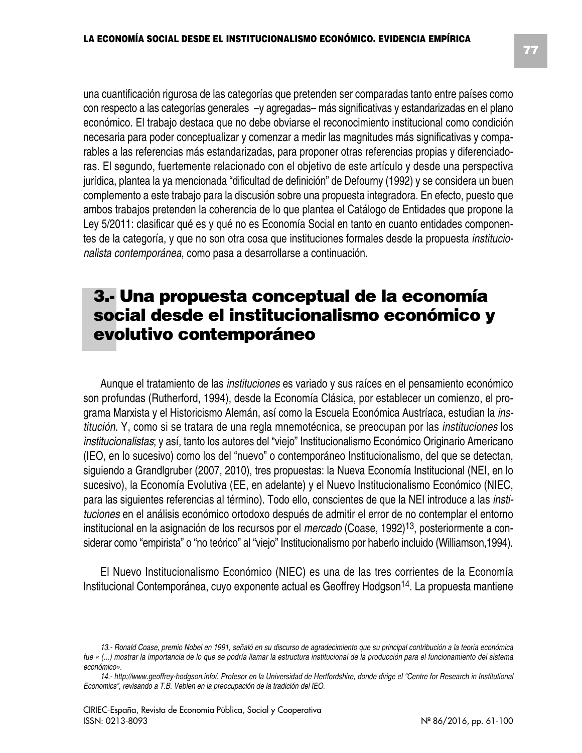una cuantificación rigurosa de las categorías que pretenden ser comparadas tanto entre países como con respecto a las categorías generales –y agregadas– más significativas y estandarizadas en el plano económico. El trabajo destaca que no debe obviarse el reconocimiento institucional como condición necesaria para poder conceptualizar y comenzar a medir las magnitudes más significativas y comparables a las referencias más estandarizadas, para proponer otras referencias propias y diferenciadoras. El segundo, fuertemente relacionado con el objetivo de este artículo y desde una perspectiva jurídica, plantea la ya mencionada "dificultad de definición" de Defourny (1992) y se considera un buen complemento a este trabajo para la discusión sobre una propuesta integradora. En efecto, puesto que

ambos trabajos pretenden la coherencia de lo que plantea el Catálogo de Entidades que propone la Ley 5/2011: clasificar qué es y qué no es Economía Social en tanto en cuanto entidades componentes de la categoría, y que no son otra cosa que instituciones formales desde la propuesta *institucionalista contemporánea*, como pasa a desarrollarse a continuación.

# **3.- Una propuesta conceptual de la economía social desde el institucionalismo económico y evolutivo contemporáneo**

Aunque el tratamiento de las *instituciones* es variado y sus raíces en el pensamiento económico son profundas (Rutherford, 1994), desde la Economía Clásica, por establecer un comienzo, el programa Marxista y el Historicismo Alemán, así como la Escuela Económica Austríaca, estudian la *institución*. Y, como si se tratara de una regla mnemotécnica, se preocupan por las *instituciones* los *institucionalistas*; y así, tanto los autores del "viejo" Institucionalismo Económico Originario Americano (IEO, en lo sucesivo) como los del "nuevo" o contemporáneo Institucionalismo, del que se detectan, siguiendo a Grandlgruber (2007, 2010), tres propuestas: la Nueva Economía Institucional (NEI, en lo sucesivo), la Economía Evolutiva (EE, en adelante) y el Nuevo Institucionalismo Económico (NIEC, para las siguientes referencias al término). Todo ello, conscientes de que la NEI introduce a las *instituciones* en el análisis económico ortodoxo después de admitir el error de no contemplar el entorno institucional en la asignación de los recursos por el *mercado* (Coase, 1992)13, posteriormente a considerar como "empirista" o "no teórico" al "viejo" Institucionalismo por haberlo incluido (Williamson,1994).

El Nuevo Institucionalismo Económico (NIEC) es una de las tres corrientes de la Economía Institucional Contemporánea, cuyo exponente actual es Geoffrey Hodgson<sup>14</sup>. La propuesta mantiene

<sup>13.-</sup> Ronald Coase, premio Nobel en 1991, señaló en su discurso de agradecimiento que su principal contribución a la teoría económica fue « (...) mostrar la importancia de lo que se podría llamar la estructura institucional de la producción para el funcionamiento del sistema *económico».*

<sup>14.-</sup> http://www.geoffrey-hodgson.info/. Profesor en la Universidad de Hertfordshire, donde dirige el "Centre for Research in Institutional *Economics", revisando a T.B. Veblen en la preocupación de la tradición del IEO.*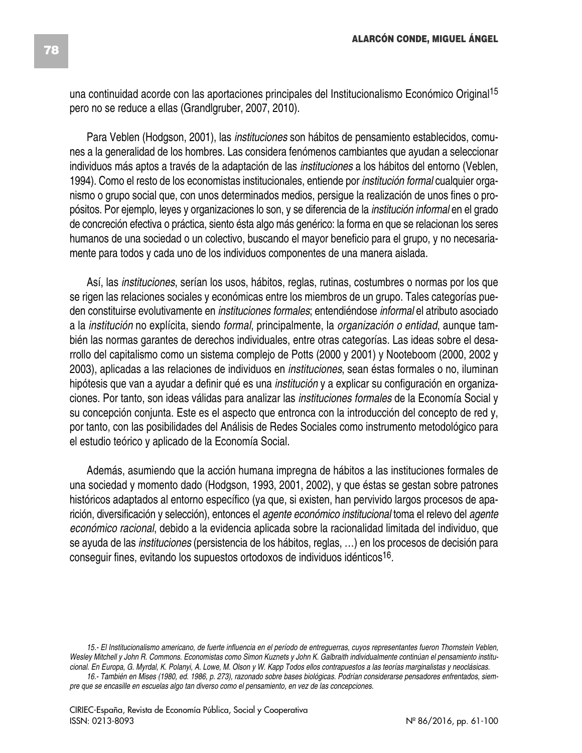una continuidad acorde con las aportaciones principales del Institucionalismo Económico Original 15 pero no se reduce a ellas (Grandlgruber, 2007, 2010).

Para Veblen (Hodgson, 2001), las *instituciones* son hábitos de pensamiento establecidos, comunes a la generalidad de los hombres. Las considera fenómenos cambiantes que ayudan a seleccionar individuos más aptos a través de la adaptación de las *instituciones* a los hábitos del entorno (Veblen, 1994). Como el resto de los economistas institucionales, entiende por *institución formal* cualquier organismo o grupo social que, con unos determinados medios, persigue la realización de unos fines o propósitos. Por ejemplo, leyes y organizaciones lo son, y se diferencia de la *institución informal* en el grado de concreción efectiva o práctica, siento ésta algo más genérico: la forma en que se relacionan los seres humanos de una sociedad o un colectivo, buscando el mayor beneficio para el grupo, y no necesariamente para todos y cada uno de los individuos componentes de una manera aislada.

Así, las *instituciones*, serían los usos, hábitos, reglas, rutinas, costumbres o normas por los que se rigen las relaciones sociales y económicas entre los miembros de un grupo. Tales categorías pueden constituirse evolutivamente en *instituciones formales*; entendiéndose *informal* el atributo asociado a la *institución* no explícita, siendo *formal*, principalmente, la *organización o entidad*, aunque también las normas garantes de derechos individuales, entre otras categorías. Las ideas sobre el desarrollo del capitalismo como un sistema complejo de Potts (2000 y 2001) y Nooteboom (2000, 2002 y 2003), aplicadas a las relaciones de individuos en *instituciones*, sean éstas formales o no, iluminan hipótesis que van a ayudar a definir qué es una *institución* y a explicar su configuración en organizaciones. Por tanto, son ideas válidas para analizar las *instituciones formales* de la Economía Social y su concepción conjunta. Este es el aspecto que entronca con la introducción del concepto de red y, por tanto, con las posibilidades del Análisis de Redes Sociales como instrumento metodológico para el estudio teórico y aplicado de la Economía Social.

Además, asumiendo que la acción humana impregna de hábitos a las instituciones formales de una sociedad y momento dado (Hodgson, 1993, 2001, 2002), y que éstas se gestan sobre patrones históricos adaptados al entorno específico (ya que, si existen, han pervivido largos procesos de aparición, diversificación y selección), entonces el *agente económico institucional* toma el relevo del *agente económico racional*, debido a la evidencia aplicada sobre la racionalidad limitada del individuo, que se ayuda de las *instituciones* (persistencia de los hábitos, reglas, …) en los procesos de decisión para conseguir fines, evitando los supuestos ortodoxos de individuos idénticos16.

<sup>15.-</sup> El Institucionalismo americano, de fuerte influencia en el período de entreguerras, cuyos representantes fueron Thornstein Veblen, Wesley Mitchell y John R. Commons. Economistas como Simon Kuznets y John K. Galbraith individualmente continúan el pensamiento institucional. En Europa, G. Myrdal, K. Polanyi, A. Lowe, M. Olson y W. Kapp Todos ellos contrapuestos a las teorías marginalistas y neoclásicas.

<sup>16.-</sup> También en Mises (1980, ed. 1986, p. 273), razonado sobre bases biológicas. Podrían considerarse pensadores enfrentados, siem*pre que se encasille en escuelas algo tan diverso como el pensamiento, en vez de las concepciones.*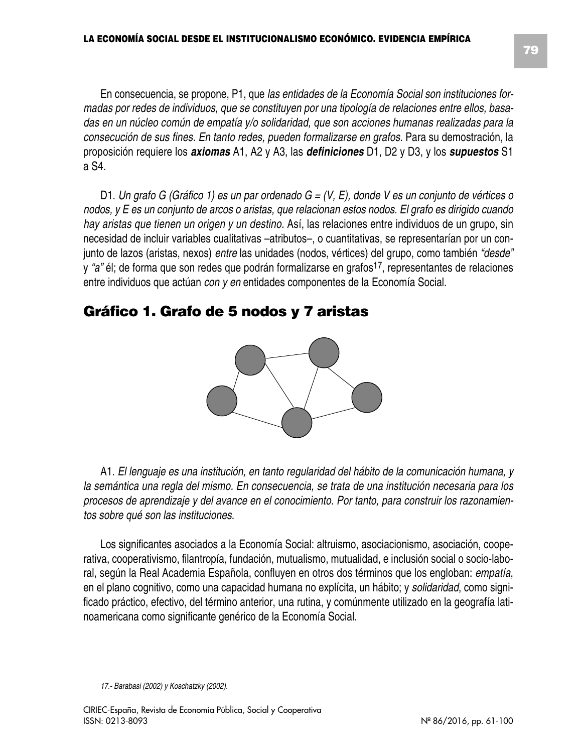En consecuencia, se propone, P1, que *las entidades de la Economía Social son instituciones formadas por redes de individuos, que se constituyen por una tipología de relaciones entre ellos, basadas en un núcleo común de empatía y/o solidaridad, que son acciones humanas realizadas para la consecución de sus fines. En tanto redes, pueden formalizarse en grafos*. Para su demostración, la proposición requiere los *axiomas* A1, A2 y A3, las *definiciones* D1, D2 y D3, y los *supuestos* S1 a S4.

D1. Un grafo G (Gráfico 1) es un par ordenado  $G = (V, E)$ , donde V es un conjunto de vértices o nodos, y E es un conjunto de arcos o aristas, que relacionan estos nodos. El grafo es dirigido cuando *hay aristas que tienen un origen y un destino.* Así, las relaciones entre individuos de un grupo, sin necesidad de incluir variables cualitativas –atributos–, o cuantitativas, se representarían por un conjunto de lazos (aristas, nexos) *entre* las unidades (nodos, vértices) del grupo, como también *"desde"* y "a" él; de forma que son redes que podrán formalizarse en grafos<sup>17</sup>, representantes de relaciones entre individuos que actúan *con y en* entidades componentes de la Economía Social.

# **Gráfico 1. Grafo de 5 nodos y 7 aristas**



A1. *El lenguaje es una institución, en tanto regularidad del hábito de la comunicación humana, y la semántica una regla del mismo. En consecuencia, se trata de una institución necesaria para los procesos de aprendizaje y del avance en el conocimiento. Por tanto, para construir los razonamientos sobre qué son las instituciones.*

Los significantes asociados a la Economía Social: altruismo, asociacionismo, asociación, cooperativa, cooperativismo, filantropía, fundación, mutualismo, mutualidad, e inclusión social o socio-laboral, según la Real Academia Española, confluyen en otros dos términos que los engloban: *empatía*, en el plano cognitivo, como una capacidad humana no explícita, un hábito; y *solidaridad*, como significado práctico, efectivo, del término anterior, una rutina, y comúnmente utilizado en la geografía latinoamericana como significante genérico de la Economía Social.

*<sup>17.-</sup> Barabasi (2002) y Koschatzky (2002).*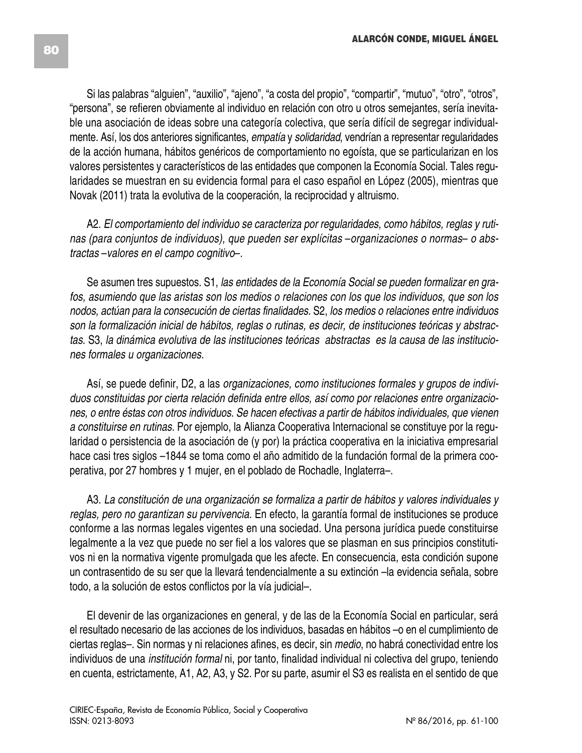Si las palabras "alguien", "auxilio", "ajeno", "a costa del propio", "compartir", "mutuo", "otro", "otros", "persona", se refieren obviamente al individuo en relación con otro u otros semejantes, sería inevitable una asociación de ideas sobre una categoría colectiva, que sería difícil de segregar individualmente. Así, los dos anteriores significantes, *empatía* y *solidaridad*, vendrían a representar regularidades de la acción humana, hábitos genéricos de comportamiento no egoísta, que se particularizan en los valores persistentes y característicos de las entidades que componen la Economía Social. Tales regularidades se muestran en su evidencia formal para el caso español en López (2005), mientras que Novak (2011) trata la evolutiva de la cooperación, la reciprocidad y altruismo.

A2. *El comportamiento del individuo se caracteriza por regularidades, como hábitos, reglas y rutinas (para conjuntos de individuos), que pueden ser explícitas* –*organizaciones o normas*– *o abstractas* –*valores en el campo cognitivo*–*.*

Se asumen tres supuestos. S1, *las entidades de la Economía Social se pueden formalizar en grafos, asumiendo que las aristas son los medios o relaciones con los que los individuos, que son los nodos, actúan para la consecución de ciertas finalidades.* S2, *los medios o relaciones entre individuos son la formalización inicial de hábitos, reglas o rutinas, es decir, de instituciones teóricas y abstractas.* S3, *la dinámica evolutiva de las instituciones teóricas abstractas es la causa de las instituciones formales u organizaciones.*

Así, se puede definir, D2, a las *organizaciones, como instituciones formales y grupos de individuos constituidas por cierta relación definida entre ellos, así como por relaciones entre organizaciones, o entre éstas con otros individuos. Se hacen efectivas a partir de hábitos individuales, que vienen a constituirse en rutinas.* Por ejemplo, la Alianza Cooperativa Internacional se constituye por la regularidad o persistencia de la asociación de (y por) la práctica cooperativa en la iniciativa empresarial hace casi tres siglos –1844 se toma como el año admitido de la fundación formal de la primera cooperativa, por 27 hombres y 1 mujer, en el poblado de Rochadle, Inglaterra–.

A3. *La constitución de una organización se formaliza a partir de hábitos y valores individuales y reglas, pero no garantizan su pervivencia.* En efecto, la garantía formal de instituciones se produce conforme a las normas legales vigentes en una sociedad. Una persona jurídica puede constituirse legalmente a la vez que puede no ser fiel a los valores que se plasman en sus principios constitutivos ni en la normativa vigente promulgada que les afecte. En consecuencia, esta condición supone un contrasentido de su ser que la llevará tendencialmente a su extinción –la evidencia señala, sobre todo, a la solución de estos conflictos por la vía judicial–.

El devenir de las organizaciones en general, y de las de la Economía Social en particular, será el resultado necesario de las acciones de los individuos, basadas en hábitos –o en el cumplimiento de ciertas reglas–. Sin normas y ni relaciones afines, es decir, sin *medio*, no habrá conectividad entre los individuos de una *institución formal* ni, por tanto, finalidad individual ni colectiva del grupo, teniendo en cuenta, estrictamente, A1, A2, A3, y S2. Por su parte, asumir el S3 es realista en el sentido de que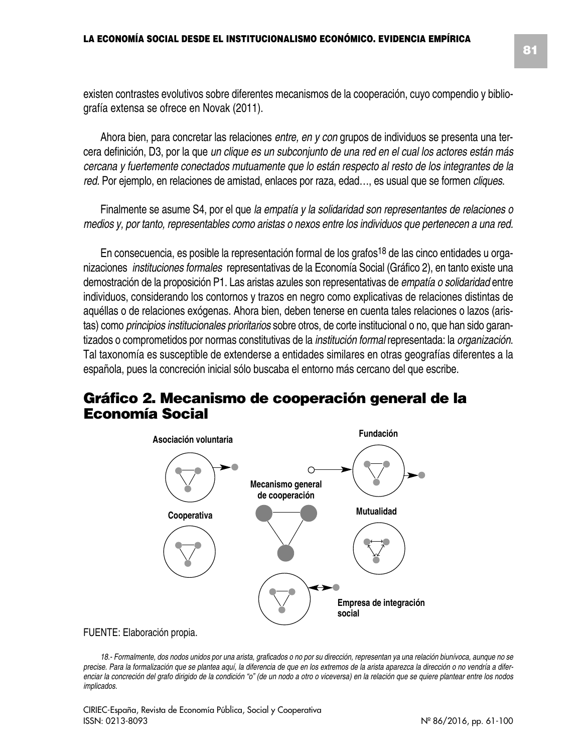existen contrastes evolutivos sobre diferentes mecanismos de la cooperación, cuyo compendio y bibliografía extensa se ofrece en Novak (2011).

Ahora bien, para concretar las relaciones *entre, en y con* grupos de individuos se presenta una tercera definición, D3, por la que *un clique es un subconjunto de una red en el cual los actores están más cercana y fuertemente conectados mutuamente que lo están respecto al resto de los integrantes de la red.* Por ejemplo, en relaciones de amistad, enlaces por raza, edad…, es usual que se formen *cliques*.

Finalmente se asume S4, por el que *la empatía y la solidaridad son representantes de relaciones o medios y, por tanto, representables como aristas o nexos entre los individuos que pertenecen a una red.*

En consecuencia, es posible la representación formal de los grafos<sup>18</sup> de las cinco entidades u organizaciones *instituciones formales* representativas de la Economía Social (Gráfico 2), en tanto existe una demostración de la proposición P1. Las aristas azules son representativas de *empatía o solidaridad* entre individuos, considerando los contornos y trazos en negro como explicativas de relaciones distintas de aquéllas o de relaciones exógenas. Ahora bien, deben tenerse en cuenta tales relaciones o lazos (aristas) como *principios institucionales prioritarios* sobre otros, de corte institucional o no, que han sido garantizados o comprometidos por normas constitutivas de la *institución formal* representada: la *organización*. Tal taxonomía es susceptible de extenderse a entidades similares en otras geografías diferentes a la española, pues la concreción inicial sólo buscaba el entorno más cercano del que escribe.

### **Gráfico 2. Mecanismo de cooperación general de la Economía Social**



#### FUENTE: Elaboración propia.

18.- Formalmente, dos nodos unidos por una arista, graficados o no por su dirección, representan ya una relación biunívoca, aunque no se precise. Para la formalización que se plantea aquí, la diferencia de que en los extremos de la arista aparezca la dirección o no vendría a diferenciar la concreción del grafo dirigido de la condición "o" (de un nodo a otro o viceversa) en la relación que se quiere plantear entre los nodos *implicados.*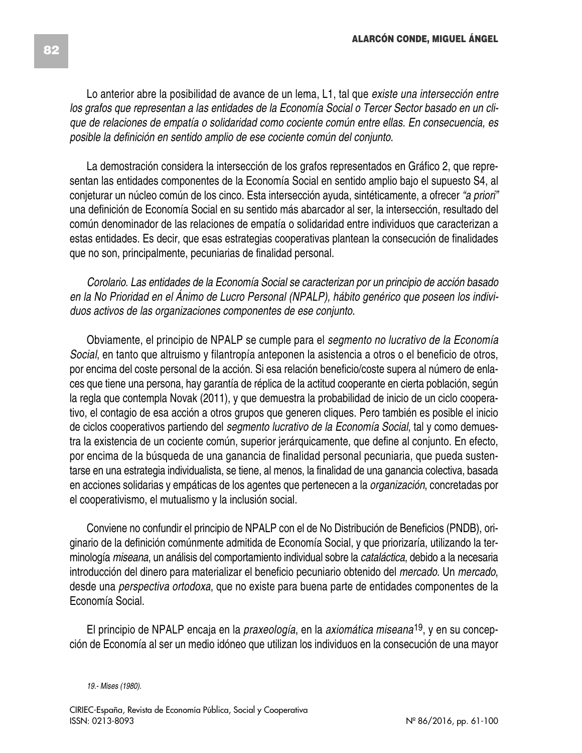Lo anterior abre la posibilidad de avance de un lema, L1, tal que *existe una intersección entre* los grafos que representan a las entidades de la Economía Social o Tercer Sector basado en un cli*que de relaciones de empatía o solidaridad como cociente común entre ellas. En consecuencia, es posible la definición en sentido amplio de ese cociente común del conjunto.*

La demostración considera la intersección de los grafos representados en Gráfico 2, que representan las entidades componentes de la Economía Social en sentido amplio bajo el supuesto S4, al conjeturar un núcleo común de los cinco. Esta intersección ayuda, sintéticamente, a ofrecer *"a priori"* una definición de Economía Social en su sentido más abarcador al ser, la intersección, resultado del común denominador de las relaciones de empatía o solidaridad entre individuos que caracterizan a estas entidades. Es decir, que esas estrategias cooperativas plantean la consecución de finalidades que no son, principalmente, pecuniarias de finalidad personal.

*Corolario*. *Las entidades de la Economía Social se caracterizan por un principio de acción basado en la No Prioridad en el Ánimo de Lucro Personal (NPALP), hábito genérico que poseen los individuos activos de las organizaciones componentes de ese conjunto.*

Obviamente, el principio de NPALP se cumple para el *segmento no lucrativo de la Economía Social*, en tanto que altruismo y filantropía anteponen la asistencia a otros o el beneficio de otros, por encima del coste personal de la acción. Si esa relación beneficio/coste supera al número de enlaces que tiene una persona, hay garantía de réplica de la actitud cooperante en cierta población, según la regla que contempla Novak (2011), y que demuestra la probabilidad de inicio de un ciclo cooperativo, el contagio de esa acción a otros grupos que generen cliques. Pero también es posible el inicio de ciclos cooperativos partiendo del *segmento lucrativo de la Economía Social*, tal y como demuestra la existencia de un cociente común, superior jerárquicamente, que define al conjunto. En efecto, por encima de la búsqueda de una ganancia de finalidad personal pecuniaria, que pueda sustentarse en una estrategia individualista, se tiene, al menos, la finalidad de una ganancia colectiva, basada en acciones solidarias y empáticas de los agentes que pertenecen a la *organización*, concretadas por el cooperativismo, el mutualismo y la inclusión social.

Conviene no confundir el principio de NPALP con el de No Distribución de Beneficios (PNDB), originario de la definición comúnmente admitida de Economía Social, y que priorizaría, utilizando la terminología *miseana*, un análisis del comportamiento individual sobre la *cataláctica*, debido a la necesaria introducción del dinero para materializar el beneficio pecuniario obtenido del *mercado*. Un *mercado*, desde una *perspectiva ortodoxa*, que no existe para buena parte de entidades componentes de la Economía Social.

El principio de NPALP encaja en la *praxeología*, en la *axiomática miseana*19, y en su concepción de Economía al ser un medio idóneo que utilizan los individuos en la consecución de una mayor

*19.- Mises (1980).*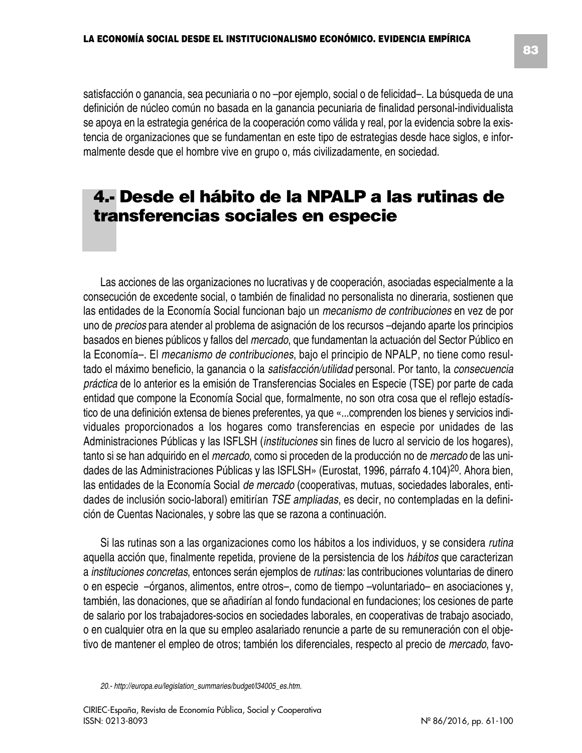satisfacción o ganancia, sea pecuniaria o no –por ejemplo, social o de felicidad–. La búsqueda de una definición de núcleo común no basada en la ganancia pecuniaria de finalidad personal-individualista se apoya en la estrategia genérica de la cooperación como válida y real, por la evidencia sobre la existencia de organizaciones que se fundamentan en este tipo de estrategias desde hace siglos, e informalmente desde que el hombre vive en grupo o, más civilizadamente, en sociedad.

# **4.- Desde el hábito de la NPALP a las rutinas de transferencias sociales en especie**

Las acciones de las organizaciones no lucrativas y de cooperación, asociadas especialmente a la consecución de excedente social, o también de finalidad no personalista no dineraria, sostienen que las entidades de la Economía Social funcionan bajo un *mecanismo de contribuciones* en vez de por uno de *precios* para atender al problema de asignación de los recursos –dejando aparte los principios basados en bienes públicos y fallos del *mercado*, que fundamentan la actuación del Sector Público en la Economía–. El *mecanismo de contribuciones*, bajo el principio de NPALP, no tiene como resultado el máximo beneficio, la ganancia o la *satisfacción/utilidad* personal. Por tanto, la *consecuencia práctica* de lo anterior es la emisión de Transferencias Sociales en Especie (TSE) por parte de cada entidad que compone la Economía Social que, formalmente, no son otra cosa que el reflejo estadístico de una definición extensa de bienes preferentes, ya que «...comprenden los bienes y servicios individuales proporcionados a los hogares como transferencias en especie por unidades de las Administraciones Públicas y las ISFLSH (*instituciones* sin fines de lucro al servicio de los hogares), tanto si se han adquirido en el *mercado*, como si proceden de la producción no de *mercado* de las unidades de las Administraciones Públicas y las ISFLSH» (Eurostat, 1996, párrafo 4.104)<sup>20</sup>. Ahora bien, las entidades de la Economía Social *de mercado* (cooperativas, mutuas, sociedades laborales, entidades de inclusión socio-laboral) emitirían *TSE ampliadas*, es decir, no contempladas en la definición de Cuentas Nacionales, y sobre las que se razona a continuación.

Si las rutinas son a las organizaciones como los hábitos a los individuos, y se considera *rutina* aquella acción que, finalmente repetida, proviene de la persistencia de los *hábitos* que caracterizan a *instituciones concretas*, entonces serán ejemplos de *rutinas:* las contribuciones voluntarias de dinero o en especie –órganos, alimentos, entre otros–, como de tiempo –voluntariado– en asociaciones y, también, las donaciones, que se añadirían al fondo fundacional en fundaciones; los cesiones de parte de salario por los trabajadores-socios en sociedades laborales, en cooperativas de trabajo asociado, o en cualquier otra en la que su empleo asalariado renuncie a parte de su remuneración con el objetivo de mantener el empleo de otros; también los diferenciales, respecto al precio de *mercado*, favo-

*<sup>20.-</sup> http://europa.eu/legislation\_summaries/budget/l34005\_es.htm.*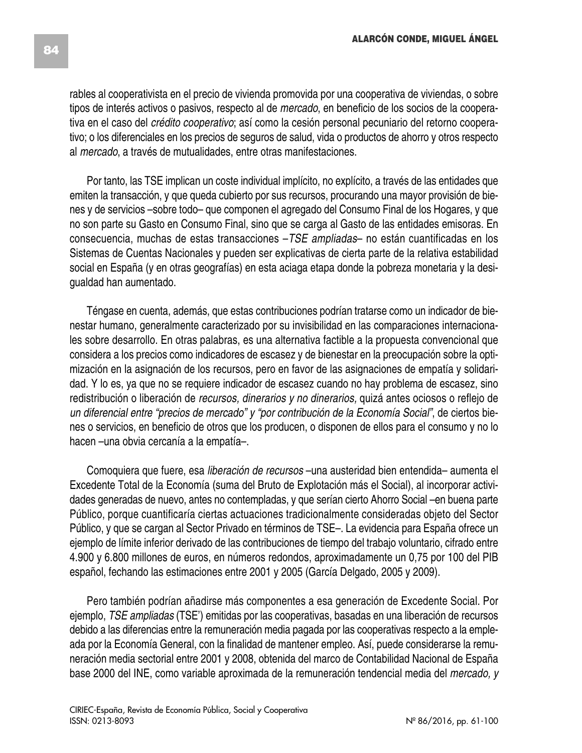rables al cooperativista en el precio de vivienda promovida por una cooperativa de viviendas, o sobre tipos de interés activos o pasivos, respecto al de *mercado*, en beneficio de los socios de la cooperativa en el caso del *crédito cooperativo*; así como la cesión personal pecuniario del retorno cooperativo; o los diferenciales en los precios de seguros de salud, vida o productos de ahorro y otros respecto al *mercado*, a través de mutualidades, entre otras manifestaciones.

Por tanto, las TSE implican un coste individual implícito, no explícito, a través de las entidades que emiten la transacción, y que queda cubierto por sus recursos, procurando una mayor provisión de bienes y de servicios –sobre todo– que componen el agregado del Consumo Final de los Hogares, y que no son parte su Gasto en Consumo Final, sino que se carga al Gasto de las entidades emisoras. En consecuencia, muchas de estas transacciones –*TSE ampliadas*– no están cuantificadas en los Sistemas de Cuentas Nacionales y pueden ser explicativas de cierta parte de la relativa estabilidad social en España (y en otras geografías) en esta aciaga etapa donde la pobreza monetaria y la desigualdad han aumentado.

Téngase en cuenta, además, que estas contribuciones podrían tratarse como un indicador de bienestar humano, generalmente caracterizado por su invisibilidad en las comparaciones internacionales sobre desarrollo. En otras palabras, es una alternativa factible a la propuesta convencional que considera a los precios como indicadores de escasez y de bienestar en la preocupación sobre la optimización en la asignación de los recursos, pero en favor de las asignaciones de empatía y solidaridad. Y lo es, ya que no se requiere indicador de escasez cuando no hay problema de escasez, sino redistribución o liberación de *recursos, dinerarios y no dinerarios,* quizá antes ociosos o reflejo de *un diferencial entre "precios de mercado" y "por contribución de la Economía Social"*, de ciertos bienes o servicios, en beneficio de otros que los producen, o disponen de ellos para el consumo y no lo hacen –una obvia cercanía a la empatía–.

Comoquiera que fuere, esa *liberación de recursos* –una austeridad bien entendida– aumenta el Excedente Total de la Economía (suma del Bruto de Explotación más el Social), al incorporar actividades generadas de nuevo, antes no contempladas, y que serían cierto Ahorro Social –en buena parte Público, porque cuantificaría ciertas actuaciones tradicionalmente consideradas objeto del Sector Público, y que se cargan al Sector Privado en términos de TSE–. La evidencia para España ofrece un ejemplo de límite inferior derivado de las contribuciones de tiempo del trabajo voluntario, cifrado entre 4.900 y 6.800 millones de euros, en números redondos, aproximadamente un 0,75 por 100 del PIB español, fechando las estimaciones entre 2001 y 2005 (García Delgado, 2005 y 2009).

Pero también podrían añadirse más componentes a esa generación de Excedente Social. Por ejemplo, *TSE ampliadas* (TSE') emitidas por las cooperativas, basadas en una liberación de recursos debido a las diferencias entre la remuneración media pagada por las cooperativas respecto a la empleada por la Economía General, con la finalidad de mantener empleo. Así, puede considerarse la remuneración media sectorial entre 2001 y 2008, obtenida del marco de Contabilidad Nacional de España base 2000 del INE, como variable aproximada de la remuneración tendencial media del *mercado, y*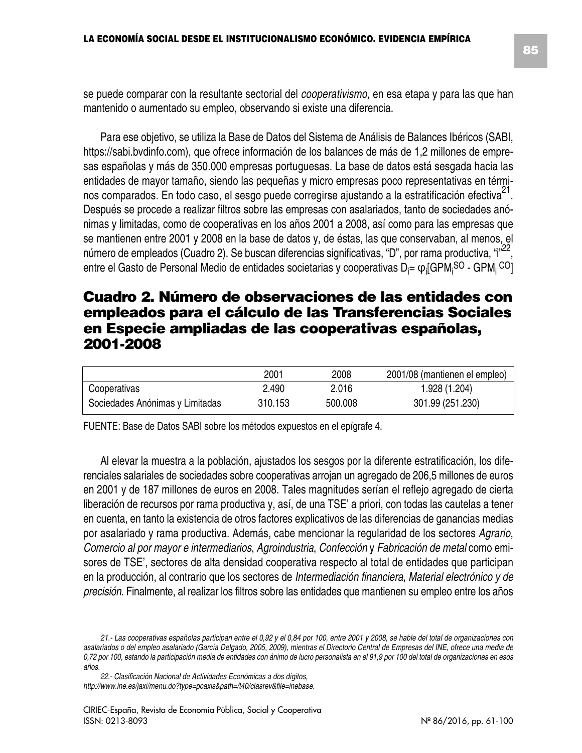se puede comparar con la resultante sectorial del *cooperativismo,* en esa etapa y para las que han mantenido o aumentado su empleo, observando si existe una diferencia.

Para ese objetivo, se utiliza la Base de Datos del Sistema de Análisis de Balances Ibéricos (SABI, https://sabi.bvdinfo.com), que ofrece información de los balances de más de 1,2 millones de empresas españolas y más de 350.000 empresas portuguesas. La base de datos está sesgada hacia las entidades de mayor tamaño, siendo las pequeñas y micro empresas poco representativas en términos comparados. En todo caso, el sesgo puede corregirse ajustando a la estratificación efectiva<sup>21</sup>. Después se procede a realizar filtros sobre las empresas con asalariados, tanto de sociedades anónimas y limitadas, como de cooperativas en los años 2001 a 2008, así como para las empresas que se mantienen entre 2001 y 2008 en la base de datos y, de éstas, las que conservaban, al menos, el número de empleados (Cuadro 2). Se buscan diferencias significativas, "D", por rama productiva, "i"<sup>22</sup>, entre el Gasto de Personal Medio de entidades societarias y cooperativas D<sub>i</sub>= φ<sub>i</sub>[GPM<sub>i</sub>S<sup>O</sup> - GPM<sub>i</sub> <sup>CO</sup>]

### **Cuadro 2. Número de observaciones de las entidades con empleados para el cálculo de las Transferencias Sociales en Especie ampliadas de las cooperativas españolas, 2001-2008**

|                                 | 2001    | 2008    | 2001/08 (mantienen el empleo) |
|---------------------------------|---------|---------|-------------------------------|
| Cooperativas                    | 2.490   | 2.016   | 1.928 (1.204)                 |
| Sociedades Anónimas y Limitadas | 310.153 | 500.008 | 301.99 (251.230)              |

FUENTE: Base de Datos SABI sobre los métodos expuestos en el epígrafe 4.

Al elevar la muestra a la población, ajustados los sesgos por la diferente estratificación, los diferenciales salariales de sociedades sobre cooperativas arrojan un agregado de 206,5 millones de euros en 2001 y de 187 millones de euros en 2008. Tales magnitudes serían el reflejo agregado de cierta liberación de recursos por rama productiva y, así, de una TSE' a priori, con todas las cautelas a tener en cuenta, en tanto la existencia de otros factores explicativos de las diferencias de ganancias medias por asalariado y rama productiva. Además, cabe mencionar la regularidad de los sectores *Agrario*, *Comercio al por mayor e intermediarios*, *Agroindustria*, *Confección* y *Fabricación de metal* como emisores de TSE', sectores de alta densidad cooperativa respecto al total de entidades que participan en la producción, al contrario que los sectores de *Intermediación financiera*, *Material electrónico y de precisión*. Finalmente, al realizar los filtros sobre las entidades que mantienen su empleo entre los años

<sup>21.-</sup> Las cooperativas españolas participan entre el 0,92 y el 0,84 por 100, entre 2001 y 2008, se hable del total de organizaciones con asalariados o del empleo asalariado (García Delgado, 2005, 2009), mientras el Directorio Central de Empresas del INE, ofrece una media de 0.72 por 100, estando la participación media de entidades con ánimo de lucro personalista en el 91,9 por 100 del total de organizaciones en esos *años.*

*<sup>22.-</sup> Clasificación Nacional de Actividades Económicas a dos dígitos, http://www.ine.es/jaxi/menu.do?type=pcaxis&path=/t40/clasrev&file=inebase.*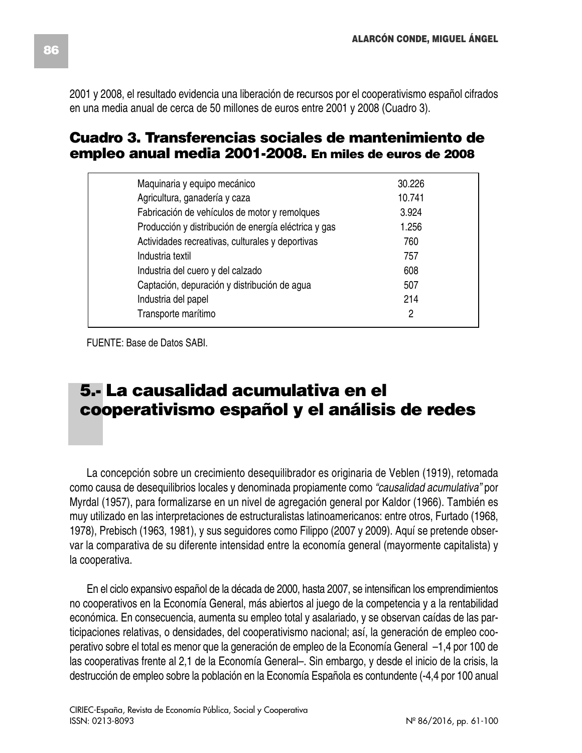2001 y 2008, el resultado evidencia una liberación de recursos por el cooperativismo español cifrados en una media anual de cerca de 50 millones de euros entre 2001 y 2008 (Cuadro 3).

### **Cuadro 3. Transferencias sociales de mantenimiento de empleo anual media 2001-2008. En miles de euros de 2008**

| Maquinaria y equipo mecánico                         | 30.226 |
|------------------------------------------------------|--------|
| Agricultura, ganadería y caza                        | 10.741 |
| Fabricación de vehículos de motor y remolques        | 3.924  |
| Producción y distribución de energía eléctrica y gas | 1.256  |
| Actividades recreativas, culturales y deportivas     | 760    |
| Industria textil                                     | 757    |
| Industria del cuero y del calzado                    | 608    |
| Captación, depuración y distribución de agua         | 507    |
| Industria del papel                                  | 214    |
| Transporte marítimo                                  | 2      |

FUENTE: Base de Datos SABI.

# **5.- La causalidad acumulativa en el cooperativismo español y el análisis de redes**

La concepción sobre un crecimiento desequilibrador es originaria de Veblen (1919), retomada como causa de desequilibrios locales y denominada propiamente como *"causalidad acumulativa"* por Myrdal (1957), para formalizarse en un nivel de agregación general por Kaldor (1966). También es muy utilizado en las interpretaciones de estructuralistas latinoamericanos: entre otros, Furtado (1968, 1978), Prebisch (1963, 1981), y sus seguidores como Filippo (2007 y 2009). Aquí se pretende observar la comparativa de su diferente intensidad entre la economía general (mayormente capitalista) y la cooperativa.

En el ciclo expansivo español de la década de 2000, hasta 2007, se intensifican los emprendimientos no cooperativos en la Economía General, más abiertos al juego de la competencia y a la rentabilidad económica. En consecuencia, aumenta su empleo total y asalariado, y se observan caídas de las participaciones relativas, o densidades, del cooperativismo nacional; así, la generación de empleo cooperativo sobre el total es menor que la generación de empleo de la Economía General –1,4 por 100 de las cooperativas frente al 2,1 de la Economía General–. Sin embargo, y desde el inicio de la crisis, la destrucción de empleo sobre la población en la Economía Española es contundente (-4,4 por 100 anual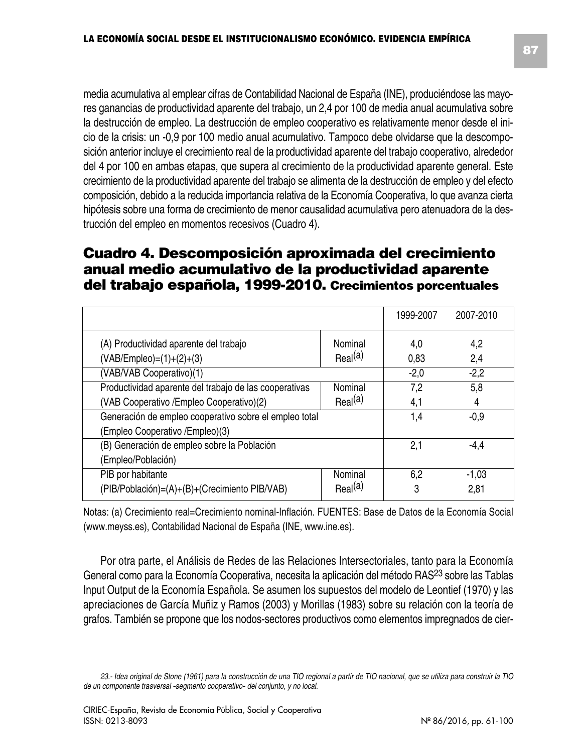media acumulativa al emplear cifras de Contabilidad Nacional de España (INE), produciéndose las mayores ganancias de productividad aparente del trabajo, un 2,4 por 100 de media anual acumulativa sobre la destrucción de empleo. La destrucción de empleo cooperativo es relativamente menor desde el inicio de la crisis: un -0,9 por 100 medio anual acumulativo. Tampoco debe olvidarse que la descomposición anterior incluye el crecimiento real de la productividad aparente del trabajo cooperativo, alrededor del 4 por 100 en ambas etapas, que supera al crecimiento de la productividad aparente general. Este crecimiento de la productividad aparente del trabajo se alimenta de la destrucción de empleo y del efecto composición, debido a la reducida importancia relativa de la Economía Cooperativa, lo que avanza cierta hipótesis sobre una forma de crecimiento de menor causalidad acumulativa pero atenuadora de la destrucción del empleo en momentos recesivos (Cuadro 4).

### **Cuadro 4. Descomposición aproximada del crecimiento anual medio acumulativo de la productividad aparente del trabajo española, 1999-2010. Crecimientos porcentuales**

|                                                        |                     | 1999-2007 | 2007-2010        |
|--------------------------------------------------------|---------------------|-----------|------------------|
| (A) Productividad aparente del trabajo                 | Nominal             | 4,0       | 4,2              |
| $(VAB/Empleo) = (1)+(2)+(3)$                           | Real <sup>(a)</sup> | 0,83      | 2,4              |
| (VAB/VAB Cooperativo)(1)                               |                     | $-2,0$    | $-2,2$           |
| Productividad aparente del trabajo de las cooperativas | Nominal             | 7,2       | $5,\overline{8}$ |
| (VAB Cooperativo / Empleo Cooperativo)(2)              | Real <sup>(a)</sup> | 4,1       | 4                |
| Generación de empleo cooperativo sobre el empleo total |                     | 1,4       | $-0.9$           |
| (Empleo Cooperativo /Empleo)(3)                        |                     |           |                  |
| (B) Generación de empleo sobre la Población            |                     | 2,1       | -4.4             |
| (Empleo/Población)                                     |                     |           |                  |
| PIB por habitante                                      | Nominal             | 6,2       | $-1,03$          |
| (PIB/Población)=(A)+(B)+(Crecimiento PIB/VAB)          | Real <sup>(a)</sup> | 3         | 2,81             |

Notas: (a) Crecimiento real=Crecimiento nominal-Inflación. FUENTES: Base de Datos de la Economía Social (www.meyss.es), Contabilidad Nacional de España (INE, www.ine.es).

Por otra parte, el Análisis de Redes de las Relaciones Intersectoriales, tanto para la Economía General como para la Economía Cooperativa, necesita la aplicación del método RAS23 sobre las Tablas Input Output de la Economía Española. Se asumen los supuestos del modelo de Leontief (1970) y las apreciaciones de García Muñiz y Ramos (2003) y Morillas (1983) sobre su relación con la teoría de grafos. También se propone que los nodos-sectores productivos como elementos impregnados de cier-

<sup>23.-</sup> Idea original de Stone (1961) para la construcción de una TIO regional a partir de TIO nacional, que se utiliza para construir la TIO *de un componente trasversal* -*segmento cooperativo*- *del conjunto, y no local.*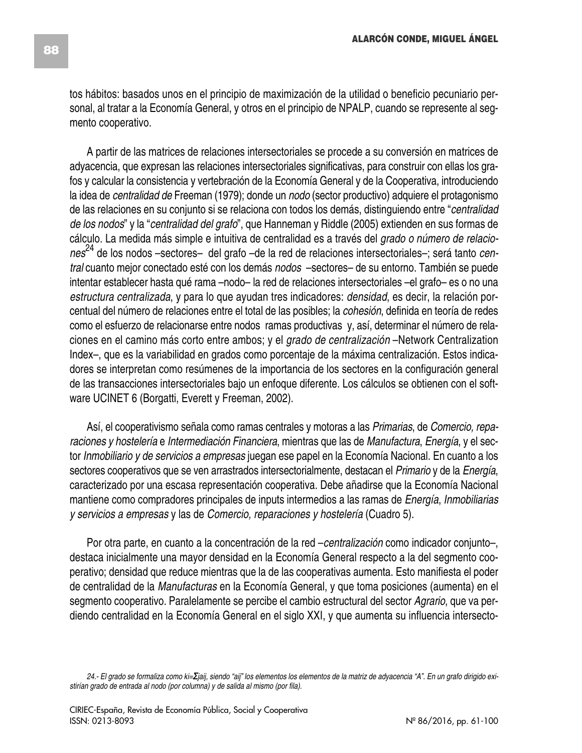tos hábitos: basados unos en el principio de maximización de la utilidad o beneficio pecuniario personal, al tratar a la Economía General, y otros en el principio de NPALP, cuando se represente al segmento cooperativo.

A partir de las matrices de relaciones intersectoriales se procede a su conversión en matrices de adyacencia, que expresan las relaciones intersectoriales significativas, para construir con ellas los grafos y calcular la consistencia y vertebración de la Economía General y de la Cooperativa, introduciendo la idea de *centralidad de* Freeman (1979); donde un *nodo* (sector productivo) adquiere el protagonismo de las relaciones en su conjunto si se relaciona con todos los demás, distinguiendo entre "*centralidad de los nodos*" y la "*centralidad del grafo*", que Hanneman y Riddle (2005) extienden en sus formas de cálculo. La medida más simple e intuitiva de centralidad es a través del *grado o número de relaciones*<sup>24</sup> de los nodos –sectores– del grafo –de la red de relaciones intersectoriales–; será tanto *central* cuanto mejor conectado esté con los demás *nodos* –sectores– de su entorno. También se puede intentar establecer hasta qué rama –nodo– la red de relaciones intersectoriales –el grafo– es o no una *estructura centralizada*, y para lo que ayudan tres indicadores: *densidad*, es decir, la relación porcentual del número de relaciones entre el total de las posibles; la *cohesión*, definida en teoría de redes como el esfuerzo de relacionarse entre nodos ramas productivas y, así, determinar el número de relaciones en el camino más corto entre ambos; y el *grado de centralización* –Network Centralization Index–, que es la variabilidad en grados como porcentaje de la máxima centralización. Estos indicadores se interpretan como resúmenes de la importancia de los sectores en la configuración general de las transacciones intersectoriales bajo un enfoque diferente. Los cálculos se obtienen con el software UCINET 6 (Borgatti, Everett y Freeman, 2002).

Así, el cooperativismo señala como ramas centrales y motoras a las *Primarias*, de *Comercio, reparaciones y hostelería* e *Intermediación Financiera*, mientras que las de *Manufactura*, *Energía*, y el sector *Inmobiliario y de servicios a empresas* juegan ese papel en la Economía Nacional. En cuanto a los sectores cooperativos que se ven arrastrados intersectorialmente, destacan el *Primario* y de la *Energía*, caracterizado por una escasa representación cooperativa. Debe añadirse que la Economía Nacional mantiene como compradores principales de inputs intermedios a las ramas de *Energía*, *Inmobiliarias y servicios a empresas* y las de *Comercio, reparaciones y hostelería* (Cuadro 5).

Por otra parte, en cuanto a la concentración de la red –*centralización* como indicador conjunto–, destaca inicialmente una mayor densidad en la Economía General respecto a la del segmento cooperativo; densidad que reduce mientras que la de las cooperativas aumenta. Esto manifiesta el poder de centralidad de la *Manufacturas* en la Economía General, y que toma posiciones (aumenta) en el segmento cooperativo. Paralelamente se percibe el cambio estructural del sector *Agrario*, que va perdiendo centralidad en la Economía General en el siglo XXI, y que aumenta su influencia intersecto-

<sup>24.-</sup> El grado se formaliza como ki= Ejaij, siendo "aij" los elementos los elementos de la matriz de adyacencia "A". En un grafo dirigido exi*stirían grado de entrada al nodo (por columna) y de salida al mismo (por fila).*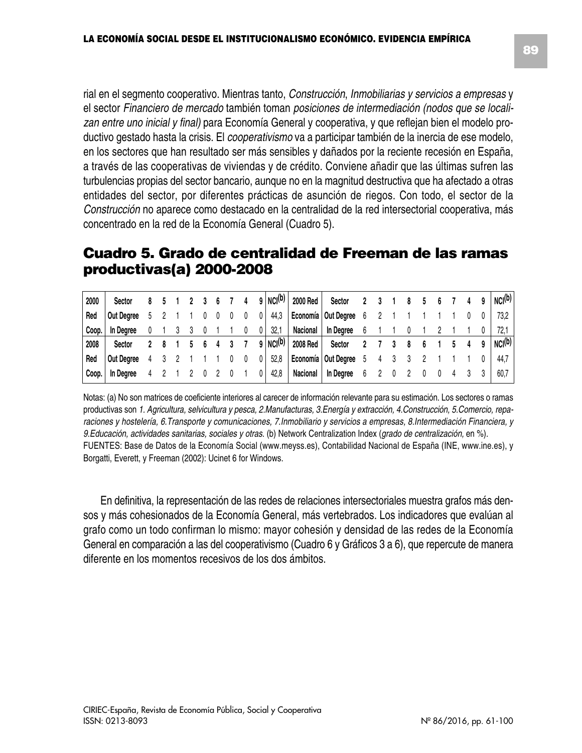rial en el segmento cooperativo. Mientras tanto, *Construcción*, *Inmobiliarias y servicios a empresas* y el sector *Financiero de mercado* también toman *posiciones de intermediación (nodos que se localizan entre uno inicial y final)* para Economía General y cooperativa, y que reflejan bien el modelo productivo gestado hasta la crisis. El *cooperativismo* va a participar también de la inercia de ese modelo, en los sectores que han resultado ser más sensibles y dañados por la reciente recesión en España, a través de las cooperativas de viviendas y de crédito. Conviene añadir que las últimas sufren las turbulencias propias del sector bancario, aunque no en la magnitud destructiva que ha afectado a otras entidades del sector, por diferentes prácticas de asunción de riegos. Con todo, el sector de la *Construcción* no aparece como destacado en la centralidad de la red intersectorial cooperativa, más concentrado en la red de la Economía General (Cuadro 5).

### **Cuadro 5. Grado de centralidad de Freeman de las ramas productivas(a) 2000-2008**

| 2000  | Sector     |  |  |  |  | 9   NC(1) | 2000 Red | Sector                  |   |  |  |  |  | NC(0)       |
|-------|------------|--|--|--|--|-----------|----------|-------------------------|---|--|--|--|--|-------------|
| Red   | Out Dearee |  |  |  |  | 44,3      |          | Economía   Out Degree 6 |   |  |  |  |  | 73.2        |
| Coop. | In Dearee  |  |  |  |  | 32,1      | Nacional | In Dearee               |   |  |  |  |  | 72.         |
| 2008  | Sector     |  |  |  |  | 9   NC(1) | 2008 Red | Sector                  |   |  |  |  |  | $NCI^{(b)}$ |
| l Red | Out Dearee |  |  |  |  | 52,8      |          | Economía   Out Degree 5 |   |  |  |  |  | 44.7        |
| Coop. | In Dearee  |  |  |  |  | 42,8      | Nacional | In Dearee               | 6 |  |  |  |  | 60.7        |

Notas: (a) No son matrices de coeficiente interiores al carecer de información relevante para su estimación. Los sectores o ramas productivas son *1. Agricultura, selvicultura y pesca, 2.Manufacturas, 3.Energía y extracción, 4.Construcción, 5.Comercio, reparaciones y hostelería, 6.Transporte y comunicaciones, 7.Inmobiliario y servicios a empresas, 8.Intermediación Financiera, y 9.Educación, actividades sanitarias, sociales y otras*. (b) Network Centralization Index (*grado de centralización,* en %). FUENTES: Base de Datos de la Economía Social (www.meyss.es), Contabilidad Nacional de España (INE, www.ine.es), y Borgatti, Everett, y Freeman (2002): Ucinet 6 for Windows.

En definitiva, la representación de las redes de relaciones intersectoriales muestra grafos más densos y más cohesionados de la Economía General, más vertebrados. Los indicadores que evalúan al grafo como un todo confirman lo mismo: mayor cohesión y densidad de las redes de la Economía General en comparación a las del cooperativismo (Cuadro 6 y Gráficos 3 a 6), que repercute de manera diferente en los momentos recesivos de los dos ámbitos.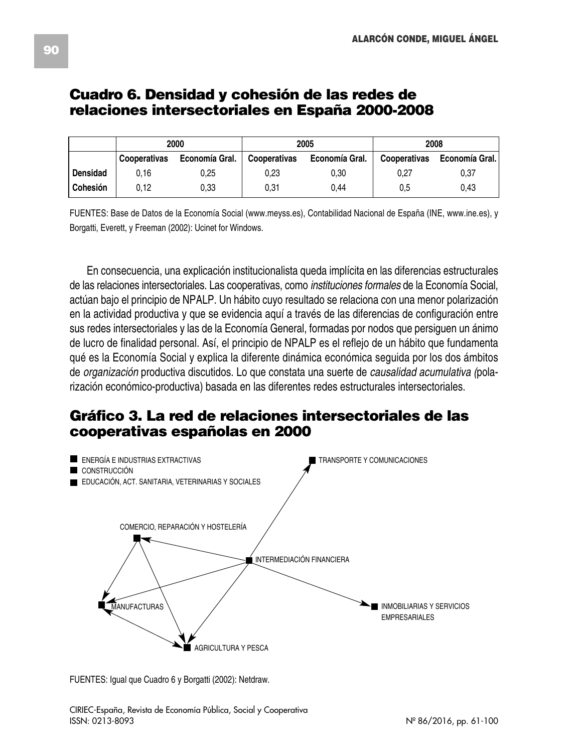### **Cuadro 6. Densidad y cohesión de las redes de relaciones intersectoriales en España 2000-2008**

|            |              | 2000           |              | 2005           | 2008         |                |  |  |  |
|------------|--------------|----------------|--------------|----------------|--------------|----------------|--|--|--|
|            | Cooperativas | Economía Gral. | Cooperativas | Economía Gral. | Cooperativas | Economía Gral. |  |  |  |
| Densidad   | 0.16         | 0.25           | 0.23         | 0.30           | 0.27         | 0.37           |  |  |  |
| ' Cohesión | 0.12         | 0.33           | 0.31         | 0.44           | 0.5          | 0.43           |  |  |  |

FUENTES: Base de Datos de la Economía Social (www.meyss.es), Contabilidad Nacional de España (INE, www.ine.es), y Borgatti, Everett, y Freeman (2002): Ucinet for Windows.

En consecuencia, una explicación institucionalista queda implícita en las diferencias estructurales de las relaciones intersectoriales. Las cooperativas, como *instituciones formales* de la Economía Social, actúan bajo el principio de NPALP. Un hábito cuyo resultado se relaciona con una menor polarización en la actividad productiva y que se evidencia aquí a través de las diferencias de configuración entre sus redes intersectoriales y las de la Economía General, formadas por nodos que persiguen un ánimo de lucro de finalidad personal. Así, el principio de NPALP es el reflejo de un hábito que fundamenta qué es la Economía Social y explica la diferente dinámica económica seguida por los dos ámbitos de *organización* productiva discutidos. Lo que constata una suerte de *causalidad acumulativa (*polarización económico-productiva) basada en las diferentes redes estructurales intersectoriales.

## **Gráfico 3. La red de relaciones intersectoriales de las cooperativas españolas en 2000**



FUENTES: Igual que Cuadro 6 y Borgatti (2002): Netdraw.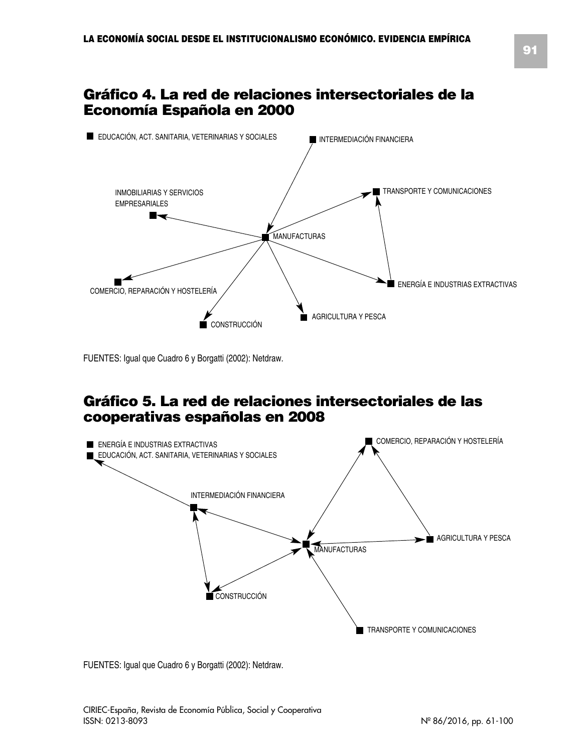## **Gráfico 4. La red de relaciones intersectoriales de la Economía Española en 2000**



FUENTES: Igual que Cuadro 6 y Borgatti (2002): Netdraw.

### **Gráfico 5. La red de relaciones intersectoriales de las cooperativas españolas en 2008**



FUENTES: Igual que Cuadro 6 y Borgatti (2002): Netdraw.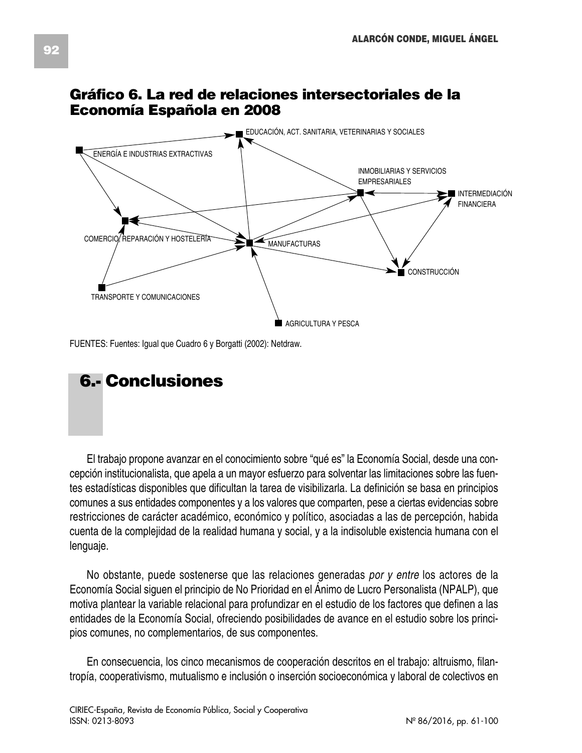

# **Gráfico 6. La red de relaciones intersectoriales de la Economía Española en 2008**

FUENTES: Fuentes: Igual que Cuadro 6 y Borgatti (2002): Netdraw.

# **6.- Conclusiones**

El trabajo propone avanzar en el conocimiento sobre "qué es" la Economía Social, desde una concepción institucionalista, que apela a un mayor esfuerzo para solventar las limitaciones sobre las fuentes estadísticas disponibles que dificultan la tarea de visibilizarla. La definición se basa en principios comunes a sus entidades componentes y a los valores que comparten, pese a ciertas evidencias sobre restricciones de carácter académico, económico y político, asociadas a las de percepción, habida cuenta de la complejidad de la realidad humana y social, y a la indisoluble existencia humana con el lenguaje.

No obstante, puede sostenerse que las relaciones generadas *por y entre* los actores de la Economía Social siguen el principio de No Prioridad en el Ánimo de Lucro Personalista (NPALP), que motiva plantear la variable relacional para profundizar en el estudio de los factores que definen a las entidades de la Economía Social, ofreciendo posibilidades de avance en el estudio sobre los principios comunes, no complementarios, de sus componentes.

En consecuencia, los cinco mecanismos de cooperación descritos en el trabajo: altruismo, filantropía, cooperativismo, mutualismo e inclusión o inserción socioeconómica y laboral de colectivos en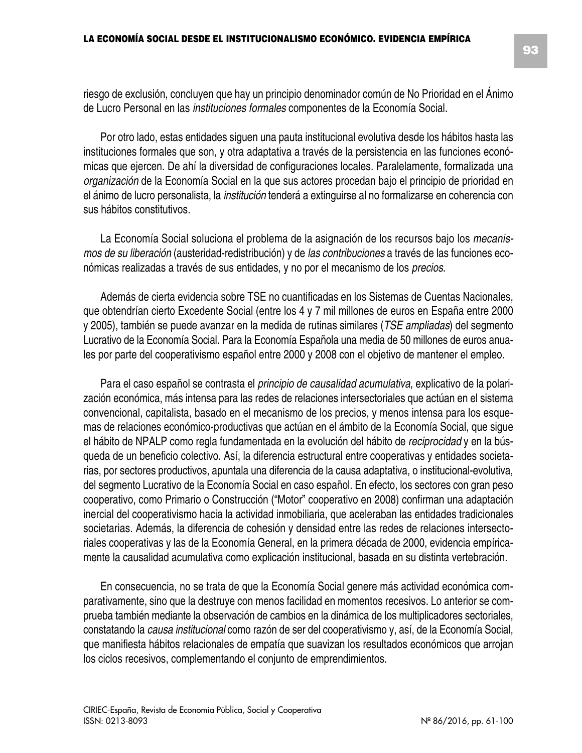riesgo de exclusión, concluyen que hay un principio denominador común de No Prioridad en el Ánimo de Lucro Personal en las *instituciones formales* componentes de la Economía Social.

Por otro lado, estas entidades siguen una pauta institucional evolutiva desde los hábitos hasta las instituciones formales que son, y otra adaptativa a través de la persistencia en las funciones económicas que ejercen. De ahí la diversidad de configuraciones locales. Paralelamente, formalizada una *organización* de la Economía Social en la que sus actores procedan bajo el principio de prioridad en el ánimo de lucro personalista, la *institución* tenderá a extinguirse al no formalizarse en coherencia con sus hábitos constitutivos.

La Economía Social soluciona el problema de la asignación de los recursos bajo los *mecanismos de su liberación* (austeridad-redistribución) y de *las contribuciones* a través de las funciones económicas realizadas a través de sus entidades, y no por el mecanismo de los *precios*.

Además de cierta evidencia sobre TSE no cuantificadas en los Sistemas de Cuentas Nacionales, que obtendrían cierto Excedente Social (entre los 4 y 7 mil millones de euros en España entre 2000 y 2005), también se puede avanzar en la medida de rutinas similares (*TSE ampliadas*) del segmento Lucrativo de la Economía Social. Para la Economía Española una media de 50 millones de euros anuales por parte del cooperativismo español entre 2000 y 2008 con el objetivo de mantener el empleo.

Para el caso español se contrasta el *principio de causalidad acumulativa*, explicativo de la polarización económica, más intensa para las redes de relaciones intersectoriales que actúan en el sistema convencional, capitalista, basado en el mecanismo de los precios, y menos intensa para los esquemas de relaciones económico-productivas que actúan en el ámbito de la Economía Social, que sigue el hábito de NPALP como regla fundamentada en la evolución del hábito de *reciprocidad* y en la búsqueda de un beneficio colectivo. Así, la diferencia estructural entre cooperativas y entidades societarias, por sectores productivos, apuntala una diferencia de la causa adaptativa, o institucional-evolutiva, del segmento Lucrativo de la Economía Social en caso español. En efecto, los sectores con gran peso cooperativo, como Primario o Construcción ("Motor" cooperativo en 2008) confirman una adaptación inercial del cooperativismo hacia la actividad inmobiliaria, que aceleraban las entidades tradicionales societarias. Además, la diferencia de cohesión y densidad entre las redes de relaciones intersectoriales cooperativas y las de la Economía General, en la primera década de 2000, evidencia empíricamente la causalidad acumulativa como explicación institucional, basada en su distinta vertebración.

En consecuencia, no se trata de que la Economía Social genere más actividad económica comparativamente, sino que la destruye con menos facilidad en momentos recesivos. Lo anterior se comprueba también mediante la observación de cambios en la dinámica de los multiplicadores sectoriales, constatando la *causa institucional* como razón de ser del cooperativismo y, así, de la Economía Social, que manifiesta hábitos relacionales de empatía que suavizan los resultados económicos que arrojan los ciclos recesivos, complementando el conjunto de emprendimientos.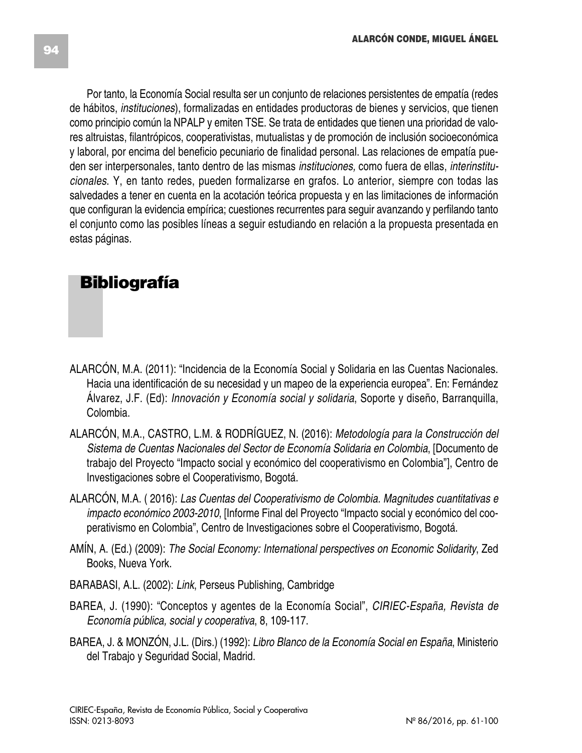Por tanto, la Economía Social resulta ser un conjunto de relaciones persistentes de empatía (redes de hábitos, *instituciones*), formalizadas en entidades productoras de bienes y servicios, que tienen como principio común la NPALP y emiten TSE. Se trata de entidades que tienen una prioridad de valores altruistas, filantrópicos, cooperativistas, mutualistas y de promoción de inclusión socioeconómica y laboral, por encima del beneficio pecuniario de finalidad personal. Las relaciones de empatía pueden ser interpersonales, tanto dentro de las mismas *instituciones,* como fuera de ellas, *interinstitucionales*. Y, en tanto redes, pueden formalizarse en grafos. Lo anterior, siempre con todas las salvedades a tener en cuenta en la acotación teórica propuesta y en las limitaciones de información que configuran la evidencia empírica; cuestiones recurrentes para seguir avanzando y perfilando tanto el conjunto como las posibles líneas a seguir estudiando en relación a la propuesta presentada en estas páginas.

# **Bibliografía**

- ALARCÓN, M.A. (2011): "Incidencia de la Economía Social y Solidaria en las Cuentas Nacionales. Hacia una identificación de su necesidad y un mapeo de la experiencia europea". En: Fernández Álvarez, J.F. (Ed): *Innovación y Economía social y solidaria*, Soporte y diseño, Barranquilla, Colombia.
- ALARCÓN, M.A., CASTRO, L.M. & RODRÍGUEZ, N. (2016): *Metodología para la Construcción del Sistema de Cuentas Nacionales del Sector de Economía Solidaria en Colombia*, [Documento de trabajo del Proyecto "Impacto social y económico del cooperativismo en Colombia"], Centro de Investigaciones sobre el Cooperativismo, Bogotá.
- ALARCÓN, M.A. ( 2016): *Las Cuentas del Cooperativismo de Colombia. Magnitudes cuantitativas e impacto económico 2003-2010*, [Informe Final del Proyecto "Impacto social y económico del cooperativismo en Colombia", Centro de Investigaciones sobre el Cooperativismo, Bogotá.
- AMÍN, A. (Ed.) (2009): *The Social Economy: International perspectives on Economic Solidarity*, Zed Books, Nueva York.
- BARABASI, A.L. (2002): *Link*, Perseus Publishing, Cambridge
- BAREA, J. (1990): "Conceptos y agentes de la Economía Social", *CIRIEC-España, Revista de Economía pública, social y cooperativa*, 8, 109-117.
- BAREA, J. & MONZÓN, J.L. (Dirs.) (1992): *Libro Blanco de la Economía Social en España*, Ministerio del Trabajo y Seguridad Social, Madrid.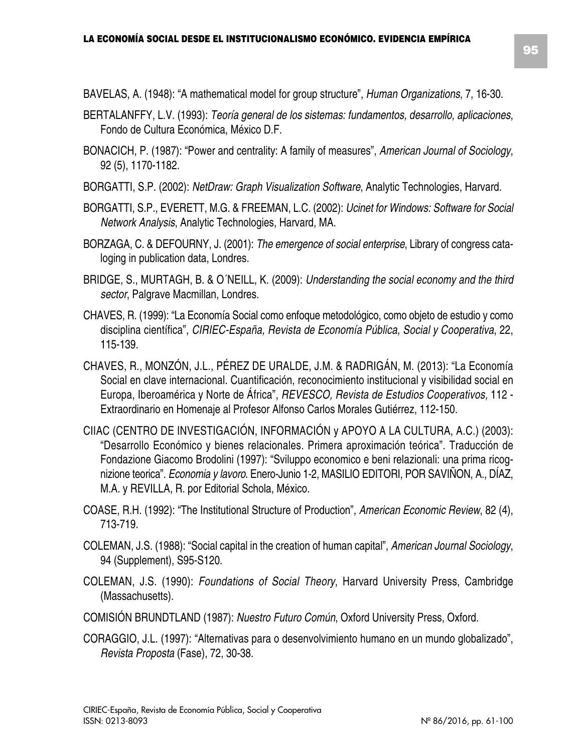- BAVELAS, A. (1948): "A mathematical model for group structure", *Human Organizations*, 7, 16-30.
- BERTALANFFY, L.V. (1993): *Teoría general de los sistemas: fundamentos, desarrollo, aplicaciones*, Fondo de Cultura Económica, México D.F.
- BONACICH, P. (1987): "Power and centrality: A family of measures", *American Journal of Sociology*, 92 (5), 1170-1182.
- BORGATTI, S.P. (2002): *NetDraw: Graph Visualization Software*, Analytic Technologies, Harvard.
- BORGATTI, S.P., EVERETT, M.G. & FREEMAN, L.C. (2002): *Ucinet for Windows: Software for Social Network Analysis*, Analytic Technologies, Harvard, MA.
- BORZAGA, C. & DEFOURNY, J. (2001): *The emergence of social enterprise*, Library of congress cataloging in publication data, Londres.
- BRIDGE, S., MURTAGH, B. & O´NEILL, K. (2009): *Understanding the social economy and the third sector*, Palgrave Macmillan, Londres.
- CHAVES, R. (1999): "La Economía Social como enfoque metodológico, como objeto de estudio y como disciplina científica", *CIRIEC-España, Revista de Economía Pública, Social y Cooperativa*, 22, 115-139.
- CHAVES, R., MONZÓN, J.L., PÉREZ DE URALDE, J.M. & RADRIGÁN, M. (2013): "La Economía Social en clave internacional. Cuantificación, reconocimiento institucional y visibilidad social en Europa, Iberoamérica y Norte de África", *REVESCO, Revista de Estudios Cooperativos,* 112 - Extraordinario en Homenaje al Profesor Alfonso Carlos Morales Gutiérrez, 112-150.
- CIIAC (CENTRO DE INVESTIGACIÓN, INFORMACIÓN y APOYO A LA CULTURA, A.C.) (2003): "Desarrollo Económico y bienes relacionales. Primera aproximación teórica". Traducción de Fondazione Giacomo Brodolini (1997): "Sviluppo economico e beni relazionali: una prima ricognizione teorica". *Economia y lavoro*. Enero-Junio 1-2, MASILIO EDITORI, POR SAVIÑON, A., DÍAZ, M.A. y REVILLA, R. por Editorial Schola, México.
- COASE, R.H. (1992): "The Institutional Structure of Production", *American Economic Review*, 82 (4), 713-719.
- COLEMAN, J.S. (1988): "Social capital in the creation of human capital", *American Journal Sociology*, 94 (Supplement), S95-S120.
- COLEMAN, J.S. (1990): *Foundations of Social Theory*, Harvard University Press, Cambridge (Massachusetts).
- COMISIÓN BRUNDTLAND (1987): *Nuestro Futuro Común*, Oxford University Press, Oxford.
- CORAGGIO, J.L. (1997): "Alternativas para o desenvolvimiento humano en un mundo globalizado", *Revista Proposta* (Fase), 72, 30-38.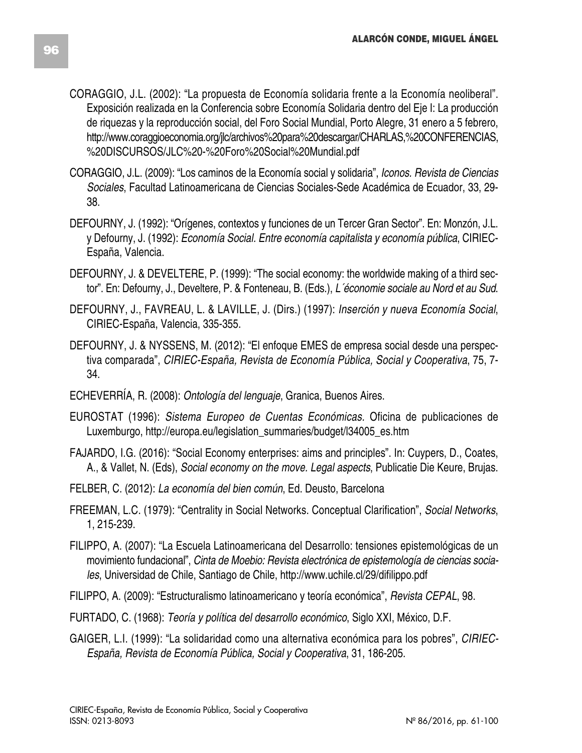- CORAGGIO, J.L. (2002): "La propuesta de Economía solidaria frente a la Economía neoliberal". Exposición realizada en la Conferencia sobre Economía Solidaria dentro del Eje I: La producción de riquezas y la reproducción social, del Foro Social Mundial, Porto Alegre, 31 enero a 5 febrero, http://www.coraggioeconomia.org/jlc/archivos%20para%20descargar/CHARLAS,%20CONFERENCIAS, %20DISCURSOS/JLC%20-%20Foro%20Social%20Mundial.pdf
- CORAGGIO, J.L. (2009): "Los caminos de la Economía social y solidaria", *Iconos. Revista de Ciencias Sociales*, Facultad Latinoamericana de Ciencias Sociales-Sede Académica de Ecuador, 33, 29- 38.
- DEFOURNY, J. (1992): "Orígenes, contextos y funciones de un Tercer Gran Sector". En: Monzón, J.L. y Defourny, J. (1992): *Economía Social. Entre economía capitalista y economía pública*, CIRIEC-España, Valencia.
- DEFOURNY, J. & DEVELTERE, P. (1999): "The social economy: the worldwide making of a third sector". En: Defourny, J., Develtere, P. & Fonteneau, B. (Eds.), *L´économie sociale au Nord et au Sud*.
- DEFOURNY, J., FAVREAU, L. & LAVILLE, J. (Dirs.) (1997): *Inserción y nueva Economía Social*, CIRIEC-España, Valencia, 335-355.
- DEFOURNY, J. & NYSSENS, M. (2012): "El enfoque EMES de empresa social desde una perspectiva comparada", *CIRIEC-España, Revista de Economía Pública, Social y Cooperativa*, 75, 7- 34.
- ECHEVERRÍA, R. (2008): *Ontología del lenguaje*, Granica, Buenos Aires.
- EUROSTAT (1996): *Sistema Europeo de Cuentas Económicas.* Oficina de publicaciones de Luxemburgo, http://europa.eu/legislation\_summaries/budget/l34005\_es.htm
- FAJARDO, I.G. (2016): "Social Economy enterprises: aims and principles". In: Cuypers, D., Coates, A., & Vallet, N. (Eds), *Social economy on the move. Legal aspects*, Publicatie Die Keure, Brujas.
- FELBER, C. (2012): *La economía del bien común*, Ed. Deusto, Barcelona
- FREEMAN, L.C. (1979): "Centrality in Social Networks. Conceptual Clarification", *Social Networks*, 1, 215-239.
- FILIPPO, A. (2007): "La Escuela Latinoamericana del Desarrollo: tensiones epistemológicas de un movimiento fundacional", *Cinta de Moebio: Revista electrónica de epistemología de ciencias sociales*, Universidad de Chile, Santiago de Chile, http://www.uchile.cl/29/difilippo.pdf
- FILIPPO, A. (2009): "Estructuralismo latinoamericano y teoría económica", *Revista CEPAL*, 98.
- FURTADO, C. (1968): *Teoría y política del desarrollo económico*, Siglo XXI, México, D.F.
- GAIGER, L.I. (1999): "La solidaridad como una alternativa económica para los pobres", *CIRIEC-España, Revista de Economía Pública, Social y Cooperativa*, 31, 186-205.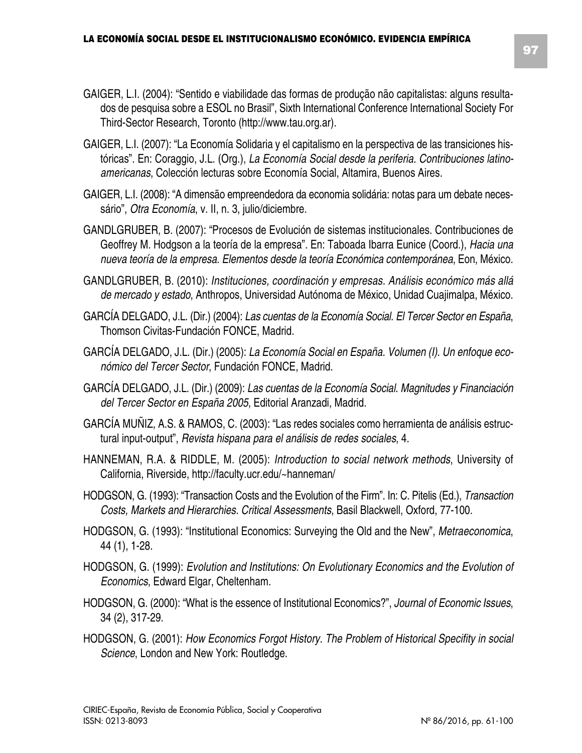- GAIGER, L.I. (2004): "Sentido e viabilidade das formas de produção não capitalistas: alguns resultados de pesquisa sobre a ESOL no Brasil", Sixth International Conference International Society For Third-Sector Research, Toronto (http://www.tau.org.ar).
- GAIGER, L.I. (2007): "La Economía Solidaria y el capitalismo en la perspectiva de las transiciones históricas". En: Coraggio, J.L. (Org.), *La Economía Social desde la periferia. Contribuciones latinoamericanas*, Colección lecturas sobre Economía Social, Altamira, Buenos Aires.
- GAIGER, L.I. (2008): "A dimensão empreendedora da economia solidária: notas para um debate necessário", *Otra Economía*, v. II, n. 3, julio/diciembre.
- GANDLGRUBER, B. (2007): "Procesos de Evolución de sistemas institucionales. Contribuciones de Geoffrey M. Hodgson a la teoría de la empresa". En: Taboada Ibarra Eunice (Coord.), *Hacia una nueva teoría de la empresa. Elementos desde la teoría Económica contemporánea*, Eon, México.
- GANDLGRUBER, B. (2010): *Instituciones, coordinación y empresas. Análisis económico más allá de mercado y estado*, Anthropos, Universidad Autónoma de México, Unidad Cuajimalpa, México.
- GARCÍA DELGADO, J.L. (Dir.) (2004): *Las cuentas de la Economía Social. El Tercer Sector en España*, Thomson Civitas-Fundación FONCE, Madrid.
- GARCÍA DELGADO, J.L. (Dir.) (2005): *La Economía Social en España. Volumen (I). Un enfoque económico del Tercer Sector*, Fundación FONCE, Madrid.
- GARCÍA DELGADO, J.L. (Dir.) (2009): *Las cuentas de la Economía Social. Magnitudes y Financiación del Tercer Sector en España 2005*, Editorial Aranzadi, Madrid.
- GARCÍA MUÑIZ, A.S. & RAMOS, C. (2003): "Las redes sociales como herramienta de análisis estructural input-output", *Revista hispana para el análisis de redes sociales*, 4.
- HANNEMAN, R.A. & RIDDLE, M. (2005): *Introduction to social network methods*, University of California, Riverside, http://faculty.ucr.edu/~hanneman/
- HODGSON, G. (1993): "Transaction Costs and the Evolution of the Firm". In: C. Pitelis (Ed.), *Transaction Costs, Markets and Hierarchies. Critical Assessments*, Basil Blackwell, Oxford, 77-100.
- HODGSON, G. (1993): "Institutional Economics: Surveying the Old and the New", *Metraeconomica*, 44 (1), 1-28.
- HODGSON, G. (1999): *Evolution and Institutions: On Evolutionary Economics and the Evolution of Economics*, Edward Elgar, Cheltenham.
- HODGSON, G. (2000): "What is the essence of Institutional Economics?", *Journal of Economic Issues*, 34 (2), 317-29.
- HODGSON, G. (2001): *How Economics Forgot History. The Problem of Historical Specifity in social Science*, London and New York: Routledge.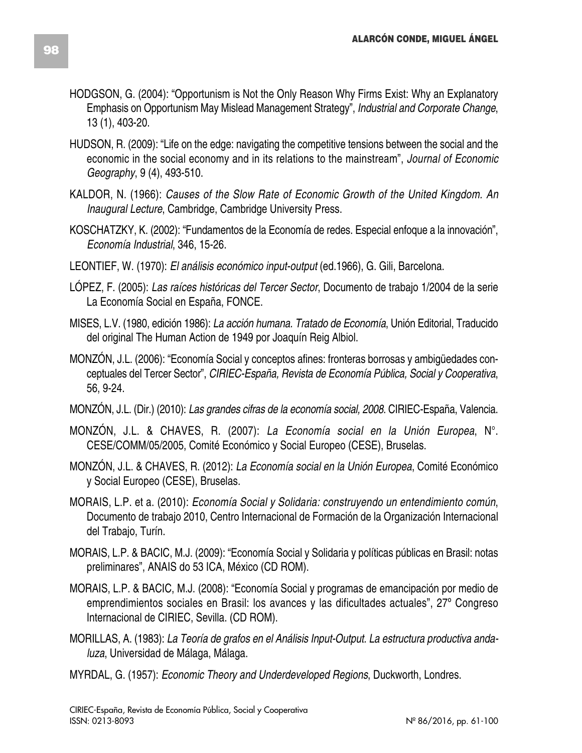- HODGSON, G. (2004): "Opportunism is Not the Only Reason Why Firms Exist: Why an Explanatory Emphasis on Opportunism May Mislead Management Strategy", *Industrial and Corporate Change*, 13 (1), 403-20.
- HUDSON, R. (2009): "Life on the edge: navigating the competitive tensions between the social and the economic in the social economy and in its relations to the mainstream", *Journal of Economic Geography*, 9 (4), 493-510.
- KALDOR, N. (1966): *Causes of the Slow Rate of Economic Growth of the United Kingdom. An Inaugural Lecture*, Cambridge, Cambridge University Press.
- KOSCHATZKY, K. (2002): "Fundamentos de la Economía de redes. Especial enfoque a la innovación", *Economía Industrial*, 346, 15-26.
- LEONTIEF, W. (1970): *El análisis económico input-output* (ed.1966), G. Gili, Barcelona.
- LÓPEZ, F. (2005): *Las raíces históricas del Tercer Sector*, Documento de trabajo 1/2004 de la serie La Economía Social en España, FONCE.
- MISES, L.V. (1980, edición 1986): *La acción humana. Tratado de Economía*, Unión Editorial, Traducido del original The Human Action de 1949 por Joaquín Reig Albiol.
- MONZÓN, J.L. (2006): "Economía Social y conceptos afines: fronteras borrosas y ambigüedades conceptuales del Tercer Sector", *CIRIEC-España, Revista de Economía Pública, Social y Cooperativa*, 56, 9-24.
- MONZÓN, J.L. (Dir.) (2010): *Las grandes cifras de la economía social, 2008*. CIRIEC-España, Valencia.
- MONZÓN, J.L. & CHAVES, R. (2007): *La Economía social en la Unión Europea*, N°. CESE/COMM/05/2005, Comité Económico y Social Europeo (CESE), Bruselas.
- MONZÓN, J.L. & CHAVES, R. (2012): *La Economía social en la Unión Europea*, Comité Económico y Social Europeo (CESE), Bruselas.
- MORAIS, L.P. et a. (2010): *Economía Social y Solidaria: construyendo un entendimiento común*, Documento de trabajo 2010, Centro Internacional de Formación de la Organización Internacional del Trabajo, Turín.
- MORAIS, L.P. & BACIC, M.J. (2009): "Economía Social y Solidaria y políticas públicas en Brasil: notas preliminares", ANAIS do 53 ICA, México (CD ROM).
- MORAIS, L.P. & BACIC, M.J. (2008): "Economía Social y programas de emancipación por medio de emprendimientos sociales en Brasil: los avances y las dificultades actuales", 27º Congreso Internacional de CIRIEC, Sevilla. (CD ROM).
- MORILLAS, A. (1983): *La Teoría de grafos en el Análisis Input-Output. La estructura productiva andaluza*, Universidad de Málaga, Málaga.
- MYRDAL, G. (1957): *Economic Theory and Underdeveloped Regions*, Duckworth, Londres.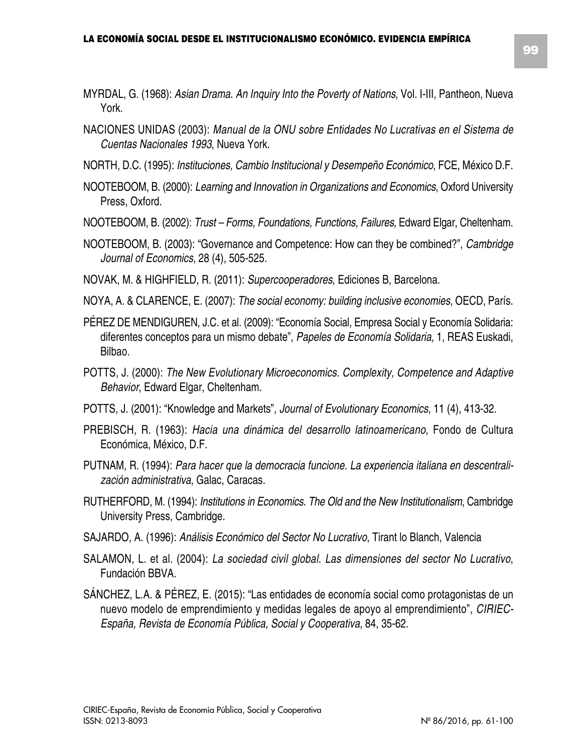- MYRDAL, G. (1968): *Asian Drama. An Inquiry Into the Poverty of Nations*, Vol. I-III, Pantheon, Nueva York.
- NACIONES UNIDAS (2003): *Manual de la ONU sobre Entidades No Lucrativas en el Sistema de Cuentas Nacionales 1993*, Nueva York.
- NORTH, D.C. (1995): *Instituciones, Cambio Institucional y Desempeño Económico*, FCE, México D.F.
- NOOTEBOOM, B. (2000): *Learning and Innovation in Organizations and Economics*, Oxford University Press, Oxford.
- NOOTEBOOM, B. (2002): *Trust – Forms, Foundations, Functions, Failures*, Edward Elgar, Cheltenham.
- NOOTEBOOM, B. (2003): "Governance and Competence: How can they be combined?", *Cambridge Journal of Economics*, 28 (4), 505-525.
- NOVAK, M. & HIGHFIELD, R. (2011): *Supercooperadores*, Ediciones B, Barcelona.
- NOYA, A. & CLARENCE, E. (2007): *The social economy: building inclusive economies*, OECD, París.
- PÉREZ DE MENDIGUREN, J.C. et al. (2009): "Economía Social, Empresa Social y Economía Solidaria: diferentes conceptos para un mismo debate", *Papeles de Economía Solidaria,* 1, REAS Euskadi, Bilbao.
- POTTS, J. (2000): *The New Evolutionary Microeconomics. Complexity, Competence and Adaptive Behavior*, Edward Elgar, Cheltenham.
- POTTS, J. (2001): "Knowledge and Markets", *Journal of Evolutionary Economics*, 11 (4), 413-32.
- PREBISCH, R. (1963): *Hacia una dinámica del desarrollo latinoamericano*, Fondo de Cultura Económica, México, D.F.
- PUTNAM, R. (1994): *Para hacer que la democracia funcione. La experiencia italiana en descentralización administrativa*, Galac, Caracas.
- RUTHERFORD, M. (1994): *Institutions in Economics. The Old and the New Institutionalism*, Cambridge University Press, Cambridge.
- SAJARDO, A. (1996): *Análisis Económico del Sector No Lucrativo*, Tirant lo Blanch, Valencia
- SALAMON, L. et al. (2004): *La sociedad civil global. Las dimensiones del sector No Lucrativo*, Fundación BBVA.
- SÁNCHEZ, L.A. & PÉREZ, E. (2015): "Las entidades de economía social como protagonistas de un nuevo modelo de emprendimiento y medidas legales de apoyo al emprendimiento", *CIRIEC-España, Revista de Economía Pública, Social y Cooperativa*, 84, 35-62.